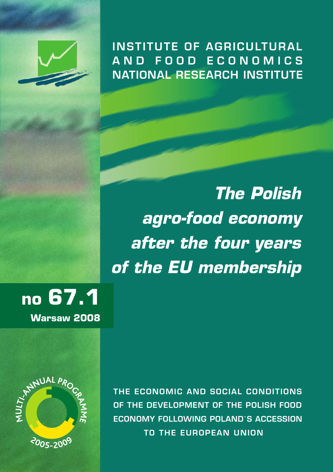

**INSTITUTE OF AGRICULTURAL A N D FOO D E CON OMI C S NATIONAL RESEARCH INSTITUTE**

*The Polish agro-food economy after the four years of the EU membership*

**no 67.1**

**Warsaw 2008**



**THE ECONOMIC AND SOCIAL CONDITIONS OF THE DEVELOPMENT OF THE POLISH FOOD ECONOMY FOLLOWING POLAND`S ACCESSION TO THE EUROPEAN UNION**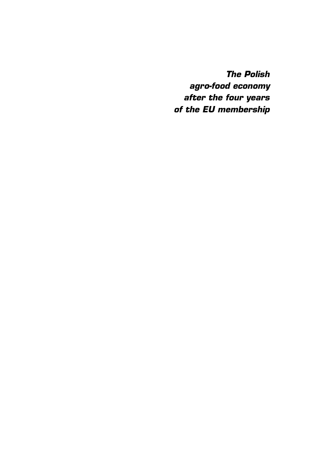**The Polish agro-food economy after the four years of the EU membership**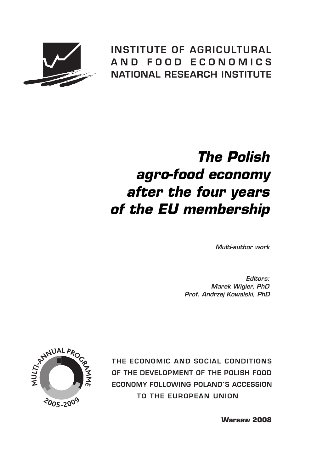

**INSTITUTE OF AGRICULTURAL** AND FOOD ECONOMICS **NATIONAL RESEARCH INSTITUTE** 

# **The Polish agro-food economy after the four years of the EU membership**

Multi-author work

Editors: Marek Wigier, PhD Prof. Andrzej Kowalski, PhD



THE ECONOMIC AND SOCIAL CONDITIONS OF THE DEVELOPMENT OF THE POLISH FOOD ECONOMY FOLLOWING POLAND`S ACCESSION TO THE EUROPEAN UNION

**Warsaw 2008**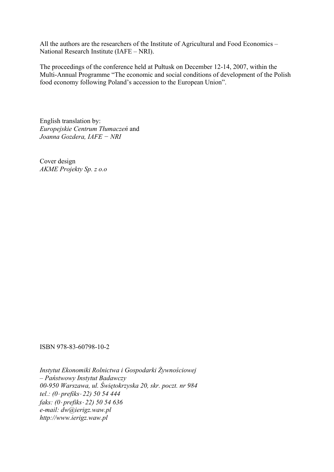All the authors are the researchers of the Institute of Agricultural and Food Economics – National Research Institute (IAFE – NRI).

The proceedings of the conference held at Pułtusk on December 12-14, 2007, within the Multi-Annual Programme "The economic and social conditions of development of the Polish food economy following Poland's accession to the European Union".

English translation by: *Europejskie Centrum Tłumaczeń* and *Joanna Gozdera, IAFE − NRI* 

Cover design *AKME Projekty Sp. z o.o* 

ISBN 978-83-60798-10-2

*Instytut Ekonomiki Rolnictwa i Gospodarki Żywnościowej – Państwowy Instytut Badawczy 00-950 Warszawa, ul. Świętokrzyska 20, skr. poczt. nr 984 tel.: (0*⋅ *prefiks*⋅ *22) 50 54 444 faks: (0*⋅ *prefiks*⋅ *22) 50 54 636 e-mail: dw@ierigz.waw.pl http://www.ierigz.waw.pl*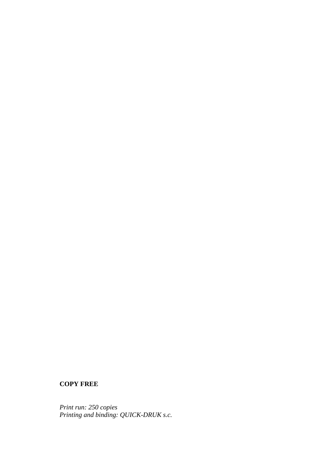#### **COPY FREE**

*Print run: 250 copies Printing and binding: QUICK-DRUK s.c.*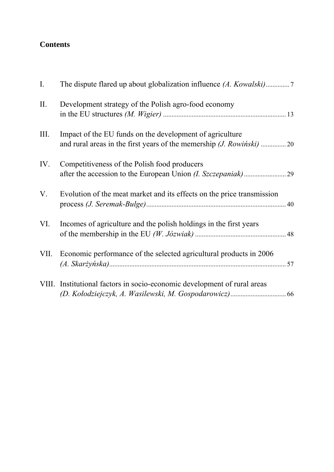## **Contents**

| I.   |                                                                          |  |
|------|--------------------------------------------------------------------------|--|
| II.  | Development strategy of the Polish agro-food economy                     |  |
| III. | Impact of the EU funds on the development of agriculture                 |  |
| IV.  | Competitiveness of the Polish food producers                             |  |
| V.   | Evolution of the meat market and its effects on the price transmission   |  |
| VI.  | Incomes of agriculture and the polish holdings in the first years        |  |
|      | VII. Economic performance of the selected agricultural products in 2006  |  |
|      | VIII. Institutional factors in socio-economic development of rural areas |  |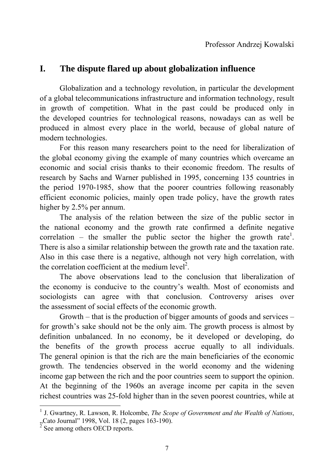# **I. The dispute flared up about globalization influence**

 Globalization and a technology revolution, in particular the development of a global telecommunications infrastructure and information technology, result in growth of competition. What in the past could be produced only in the developed countries for technological reasons, nowadays can as well be produced in almost every place in the world, because of global nature of modern technologies.

 For this reason many researchers point to the need for liberalization of the global economy giving the example of many countries which overcame an economic and social crisis thanks to their economic freedom. The results of research by Sachs and Warner published in 1995, concerning 135 countries in the period 1970-1985, show that the poorer countries following reasonably efficient economic policies, mainly open trade policy, have the growth rates higher by 2.5% per annum.

 The analysis of the relation between the size of the public sector in the national economy and the growth rate confirmed a definite negative correlation – the smaller the public sector the higher the growth rate<sup>1</sup>. There is also a similar relationship between the growth rate and the taxation rate. Also in this case there is a negative, although not very high correlation, with the correlation coefficient at the medium  $level<sup>2</sup>$ .

 The above observations lead to the conclusion that liberalization of the economy is conducive to the country's wealth. Most of economists and sociologists can agree with that conclusion. Controversy arises over the assessment of social effects of the economic growth.

 Growth – that is the production of bigger amounts of goods and services – for growth's sake should not be the only aim. The growth process is almost by definition unbalanced. In no economy, be it developed or developing, do the benefits of the growth process accrue equally to all individuals. The general opinion is that the rich are the main beneficiaries of the economic growth. The tendencies observed in the world economy and the widening income gap between the rich and the poor countries seem to support the opinion. At the beginning of the 1960s an average income per capita in the seven richest countries was 25-fold higher than in the seven poorest countries, while at

<u>.</u>

<sup>&</sup>lt;sup>1</sup> J. Gwartney, R. Lawson, R. Holcombe, *The Scope of Government and the Wealth of Nations*, "Cato Journal" 1998, Vol. 18  $(2,$  pages 163-190).

See among others OECD reports.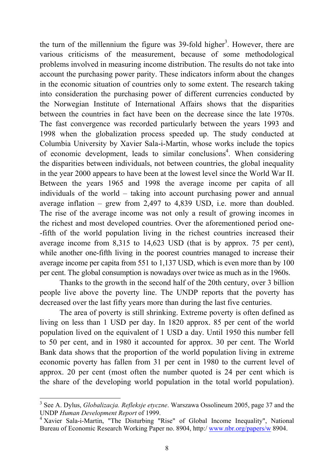the turn of the millennium the figure was  $39$ -fold higher<sup>3</sup>. However, there are various criticisms of the measurement, because of some methodological problems involved in measuring income distribution. The results do not take into account the purchasing power parity. These indicators inform about the changes in the economic situation of countries only to some extent. The research taking into consideration the purchasing power of different currencies conducted by the Norwegian Institute of International Affairs shows that the disparities between the countries in fact have been on the decrease since the late 1970s. The fast convergence was recorded particularly between the years 1993 and 1998 when the globalization process speeded up. The study conducted at Columbia University by Xavier Sala-i-Martin, whose works include the topics of economic development, leads to similar conclusions<sup>4</sup>. When considering the disparities between individuals, not between countries, the global inequality in the year 2000 appears to have been at the lowest level since the World War II. Between the years 1965 and 1998 the average income per capita of all individuals of the world – taking into account purchasing power and annual average inflation – grew from 2,497 to 4,839 USD, i.e. more than doubled. The rise of the average income was not only a result of growing incomes in the richest and most developed countries. Over the aforementioned period one- -fifth of the world population living in the richest countries increased their average income from 8,315 to 14,623 USD (that is by approx. 75 per cent), while another one-fifth living in the poorest countries managed to increase their average income per capita from 551 to 1,137 USD, which is even more than by 100 per cent. The global consumption is nowadays over twice as much as in the 1960s.

 Thanks to the growth in the second half of the 20th century, over 3 billion people live above the poverty line. The UNDP reports that the poverty has decreased over the last fifty years more than during the last five centuries.

 The area of poverty is still shrinking. Extreme poverty is often defined as living on less than 1 USD per day. In 1820 approx. 85 per cent of the world population lived on the equivalent of 1 USD a day. Until 1950 this number fell to 50 per cent, and in 1980 it accounted for approx. 30 per cent. The World Bank data shows that the proportion of the world population living in extreme economic poverty has fallen from 31 per cent in 1980 to the current level of approx. 20 per cent (most often the number quoted is 24 per cent which is the share of the developing world population in the total world population).

<u>.</u>

<sup>3</sup> See A. Dylus, *Globalizacja. Refleksje etyczne*. Warszawa Ossolineum 2005, page 37 and the UNDP *Human Development Report* of 1999.

<sup>4</sup> Xavier Sala-i-Martin, "The Disturbing "Rise" of Global Income Inequality", National Bureau of Economic Research Working Paper no. 8904, http:/ www.nbr.org/papers/w 8904.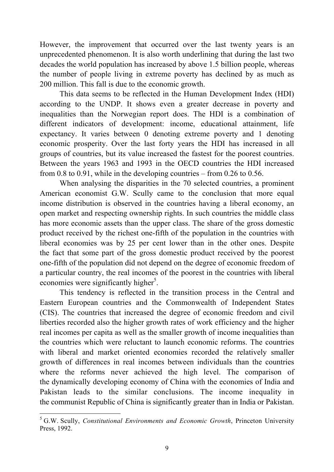However, the improvement that occurred over the last twenty years is an unprecedented phenomenon. It is also worth underlining that during the last two decades the world population has increased by above 1.5 billion people, whereas the number of people living in extreme poverty has declined by as much as 200 million. This fall is due to the economic growth.

 This data seems to be reflected in the Human Development Index (HDI) according to the UNDP. It shows even a greater decrease in poverty and inequalities than the Norwegian report does. The HDI is a combination of different indicators of development: income, educational attainment, life expectancy. It varies between 0 denoting extreme poverty and 1 denoting economic prosperity. Over the last forty years the HDI has increased in all groups of countries, but its value increased the fastest for the poorest countries. Between the years 1963 and 1993 in the OECD countries the HDI increased from 0.8 to 0.91, while in the developing countries – from 0.26 to 0.56.

 When analysing the disparities in the 70 selected countries, a prominent American economist G.W. Scully came to the conclusion that more equal income distribution is observed in the countries having a liberal economy, an open market and respecting ownership rights. In such countries the middle class has more economic assets than the upper class. The share of the gross domestic product received by the richest one-fifth of the population in the countries with liberal economies was by 25 per cent lower than in the other ones. Despite the fact that some part of the gross domestic product received by the poorest one-fifth of the population did not depend on the degree of economic freedom of a particular country, the real incomes of the poorest in the countries with liberal economies were significantly higher<sup>5</sup>.

 This tendency is reflected in the transition process in the Central and Eastern European countries and the Commonwealth of Independent States (CIS). The countries that increased the degree of economic freedom and civil liberties recorded also the higher growth rates of work efficiency and the higher real incomes per capita as well as the smaller growth of income inequalities than the countries which were reluctant to launch economic reforms. The countries with liberal and market oriented economies recorded the relatively smaller growth of differences in real incomes between individuals than the countries where the reforms never achieved the high level. The comparison of the dynamically developing economy of China with the economies of India and Pakistan leads to the similar conclusions. The income inequality in the communist Republic of China is significantly greater than in India or Pakistan.

1

<sup>5</sup> G.W. Scully, *Constitutional Environments and Economic Growth*, Princeton University Press, 1992.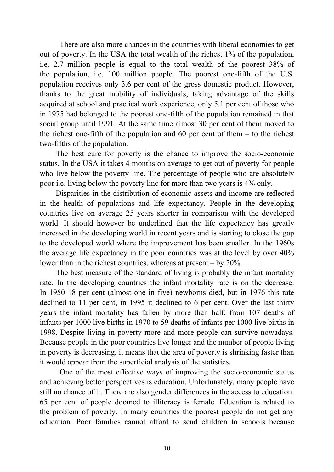There are also more chances in the countries with liberal economies to get out of poverty. In the USA the total wealth of the richest 1% of the population, i.e. 2.7 million people is equal to the total wealth of the poorest 38% of the population, i.e. 100 million people. The poorest one-fifth of the U.S. population receives only 3.6 per cent of the gross domestic product. However, thanks to the great mobility of individuals, taking advantage of the skills acquired at school and practical work experience, only 5.1 per cent of those who in 1975 had belonged to the poorest one-fifth of the population remained in that social group until 1991. At the same time almost 30 per cent of them moved to the richest one-fifth of the population and  $60$  per cent of them – to the richest two-fifths of the population.

The best cure for poverty is the chance to improve the socio-economic status. In the USA it takes 4 months on average to get out of poverty for people who live below the poverty line. The percentage of people who are absolutely poor i.e. living below the poverty line for more than two years is 4% only.

Disparities in the distribution of economic assets and income are reflected in the health of populations and life expectancy. People in the developing countries live on average 25 years shorter in comparison with the developed world. It should however be underlined that the life expectancy has greatly increased in the developing world in recent years and is starting to close the gap to the developed world where the improvement has been smaller. In the 1960s the average life expectancy in the poor countries was at the level by over 40% lower than in the richest countries, whereas at present – by 20%.

The best measure of the standard of living is probably the infant mortality rate. In the developing countries the infant mortality rate is on the decrease. In 1950 18 per cent (almost one in five) newborns died, but in 1976 this rate declined to 11 per cent, in 1995 it declined to 6 per cent. Over the last thirty years the infant mortality has fallen by more than half, from 107 deaths of infants per 1000 live births in 1970 to 59 deaths of infants per 1000 live births in 1998. Despite living in poverty more and more people can survive nowadays. Because people in the poor countries live longer and the number of people living in poverty is decreasing, it means that the area of poverty is shrinking faster than it would appear from the superficial analysis of the statistics.

 One of the most effective ways of improving the socio-economic status and achieving better perspectives is education. Unfortunately, many people have still no chance of it. There are also gender differences in the access to education: 65 per cent of people doomed to illiteracy is female. Education is related to the problem of poverty. In many countries the poorest people do not get any education. Poor families cannot afford to send children to schools because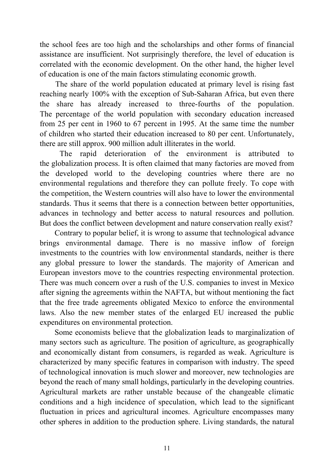the school fees are too high and the scholarships and other forms of financial assistance are insufficient. Not surprisingly therefore, the level of education is correlated with the economic development. On the other hand, the higher level of education is one of the main factors stimulating economic growth.

The share of the world population educated at primary level is rising fast reaching nearly 100% with the exception of Sub-Saharan Africa, but even there the share has already increased to three-fourths of the population. The percentage of the world population with secondary education increased from 25 per cent in 1960 to 67 percent in 1995. At the same time the number of children who started their education increased to 80 per cent. Unfortunately, there are still approx. 900 million adult illiterates in the world.

 The rapid deterioration of the environment is attributed to the globalization process. It is often claimed that many factories are moved from the developed world to the developing countries where there are no environmental regulations and therefore they can pollute freely. To cope with the competition, the Western countries will also have to lower the environmental standards. Thus it seems that there is a connection between better opportunities, advances in technology and better access to natural resources and pollution. But does the conflict between development and nature conservation really exist?

Contrary to popular belief, it is wrong to assume that technological advance brings environmental damage. There is no massive inflow of foreign investments to the countries with low environmental standards, neither is there any global pressure to lower the standards. The majority of American and European investors move to the countries respecting environmental protection. There was much concern over a rush of the U.S. companies to invest in Mexico after signing the agreements within the NAFTA, but without mentioning the fact that the free trade agreements obligated Mexico to enforce the environmental laws. Also the new member states of the enlarged EU increased the public expenditures on environmental protection.

Some economists believe that the globalization leads to marginalization of many sectors such as agriculture. The position of agriculture, as geographically and economically distant from consumers, is regarded as weak. Agriculture is characterized by many specific features in comparison with industry. The speed of technological innovation is much slower and moreover, new technologies are beyond the reach of many small holdings, particularly in the developing countries. Agricultural markets are rather unstable because of the changeable climatic conditions and a high incidence of speculation, which lead to the significant fluctuation in prices and agricultural incomes. Agriculture encompasses many other spheres in addition to the production sphere. Living standards, the natural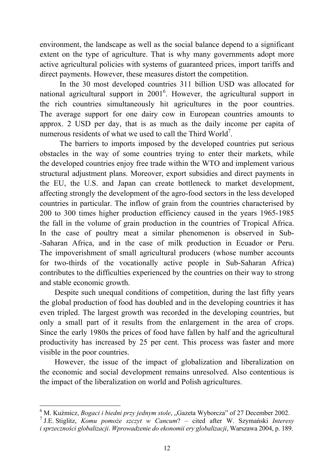environment, the landscape as well as the social balance depend to a significant extent on the type of agriculture. That is why many governments adopt more active agricultural policies with systems of guaranteed prices, import tariffs and direct payments. However, these measures distort the competition.

 In the 30 most developed countries 311 billion USD was allocated for national agricultural support in  $2001^6$ . However, the agricultural support in the rich countries simultaneously hit agricultures in the poor countries. The average support for one dairy cow in European countries amounts to approx. 2 USD per day, that is as much as the daily income per capita of numerous residents of what we used to call the Third World<sup>7</sup>.

 The barriers to imports imposed by the developed countries put serious obstacles in the way of some countries trying to enter their markets, while the developed countries enjoy free trade within the WTO and implement various structural adjustment plans. Moreover, export subsidies and direct payments in the EU, the U.S. and Japan can create bottleneck to market development, affecting strongly the development of the agro-food sectors in the less developed countries in particular. The inflow of grain from the countries characterised by 200 to 300 times higher production efficiency caused in the years 1965-1985 the fall in the volume of grain production in the countries of Tropical Africa. In the case of poultry meat a similar phenomenon is observed in Sub- -Saharan Africa, and in the case of milk production in Ecuador or Peru. The impoverishment of small agricultural producers (whose number accounts for two-thirds of the vocationally active people in Sub-Saharan Africa) contributes to the difficulties experienced by the countries on their way to strong and stable economic growth.

Despite such unequal conditions of competition, during the last fifty years the global production of food has doubled and in the developing countries it has even tripled. The largest growth was recorded in the developing countries, but only a small part of it results from the enlargement in the area of crops. Since the early 1980s the prices of food have fallen by half and the agricultural productivity has increased by 25 per cent. This process was faster and more visible in the poor countries.

However, the issue of the impact of globalization and liberalization on the economic and social development remains unresolved. Also contentious is the impact of the liberalization on world and Polish agricultures.

<sup>&</sup>lt;del>6</del><br><sup>6</sup> M. Kuźmicz, *Bogaci i biedni przy jednym stole*, "Gazeta Wyborcza" of 27 December 2002.

<sup>7</sup> J.E. Stiglitz, *Komu pomoże szczyt w Cancum*? – cited after W. Szymański *Interesy i sprzeczności globalizacji*. *Wprowadzenie do ekonomii ery globalizacji*, Warszawa 2004, p. 189.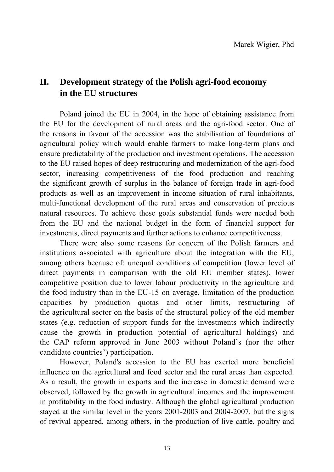# **II. Development strategy of the Polish agri-food economy in the EU structures**

Poland joined the EU in 2004, in the hope of obtaining assistance from the EU for the development of rural areas and the agri-food sector. One of the reasons in favour of the accession was the stabilisation of foundations of agricultural policy which would enable farmers to make long-term plans and ensure predictability of the production and investment operations. The accession to the EU raised hopes of deep restructuring and modernization of the agri-food sector, increasing competitiveness of the food production and reaching the significant growth of surplus in the balance of foreign trade in agri-food products as well as an improvement in income situation of rural inhabitants, multi-functional development of the rural areas and conservation of precious natural resources. To achieve these goals substantial funds were needed both from the EU and the national budget in the form of financial support for investments, direct payments and further actions to enhance competitiveness.

There were also some reasons for concern of the Polish farmers and institutions associated with agriculture about the integration with the EU, among others because of: unequal conditions of competition (lower level of direct payments in comparison with the old EU member states), lower competitive position due to lower labour productivity in the agriculture and the food industry than in the EU-15 on average, limitation of the production capacities by production quotas and other limits, restructuring of the agricultural sector on the basis of the structural policy of the old member states (e.g. reduction of support funds for the investments which indirectly cause the growth in production potential of agricultural holdings) and the CAP reform approved in June 2003 without Poland's (nor the other candidate countries') participation.

However, Poland's accession to the EU has exerted more beneficial influence on the agricultural and food sector and the rural areas than expected. As a result, the growth in exports and the increase in domestic demand were observed, followed by the growth in agricultural incomes and the improvement in profitability in the food industry. Although the global agricultural production stayed at the similar level in the years 2001-2003 and 2004-2007, but the signs of revival appeared, among others, in the production of live cattle, poultry and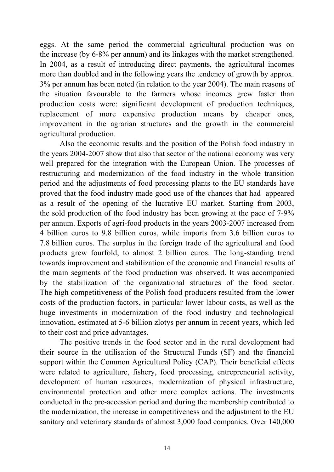eggs. At the same period the commercial agricultural production was on the increase (by 6-8% per annum) and its linkages with the market strengthened. In 2004, as a result of introducing direct payments, the agricultural incomes more than doubled and in the following years the tendency of growth by approx. 3% per annum has been noted (in relation to the year 2004). The main reasons of the situation favourable to the farmers whose incomes grew faster than production costs were: significant development of production techniques, replacement of more expensive production means by cheaper ones, improvement in the agrarian structures and the growth in the commercial agricultural production.

Also the economic results and the position of the Polish food industry in the years 2004-2007 show that also that sector of the national economy was very well prepared for the integration with the European Union. The processes of restructuring and modernization of the food industry in the whole transition period and the adjustments of food processing plants to the EU standards have proved that the food industry made good use of the chances that had appeared as a result of the opening of the lucrative EU market. Starting from 2003, the sold production of the food industry has been growing at the pace of 7-9% per annum. Exports of agri-food products in the years 2003-2007 increased from 4 billion euros to 9.8 billion euros, while imports from 3.6 billion euros to 7.8 billion euros. The surplus in the foreign trade of the agricultural and food products grew fourfold, to almost 2 billion euros. The long-standing trend towards improvement and stabilization of the economic and financial results of the main segments of the food production was observed. It was accompanied by the stabilization of the organizational structures of the food sector. The high competitiveness of the Polish food producers resulted from the lower costs of the production factors, in particular lower labour costs, as well as the huge investments in modernization of the food industry and technological innovation, estimated at 5-6 billion zlotys per annum in recent years, which led to their cost and price advantages.

The positive trends in the food sector and in the rural development had their source in the utilisation of the Structural Funds (SF) and the financial support within the Common Agricultural Policy (CAP). Their beneficial effects were related to agriculture, fishery, food processing, entrepreneurial activity, development of human resources, modernization of physical infrastructure, environmental protection and other more complex actions. The investments conducted in the pre-accession period and during the membership contributed to the modernization, the increase in competitiveness and the adjustment to the EU sanitary and veterinary standards of almost 3,000 food companies. Over 140,000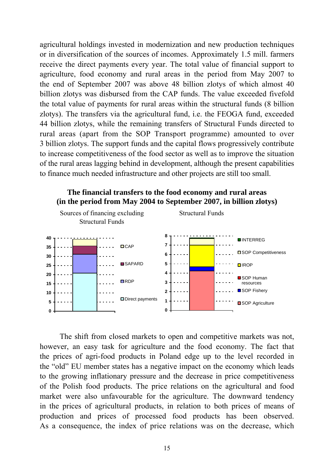agricultural holdings invested in modernization and new production techniques or in diversification of the sources of incomes. Approximately 1.5 mill. farmers receive the direct payments every year. The total value of financial support to agriculture, food economy and rural areas in the period from May 2007 to the end of September 2007 was above 48 billion zlotys of which almost 40 billion zlotys was disbursed from the CAP funds. The value exceeded fivefold the total value of payments for rural areas within the structural funds (8 billion zlotys). The transfers via the agricultural fund, i.e. the FEOGA fund, exceeded 44 billion zlotys, while the remaining transfers of Structural Funds directed to rural areas (apart from the SOP Transport programme) amounted to over 3 billion zlotys. The support funds and the capital flows progressively contribute to increase competitiveness of the food sector as well as to improve the situation of the rural areas lagging behind in development, although the present capabilities to finance much needed infrastructure and other projects are still too small.



**The financial transfers to the food economy and rural areas** 

The shift from closed markets to open and competitive markets was not, however, an easy task for agriculture and the food economy. The fact that the prices of agri-food products in Poland edge up to the level recorded in the "old" EU member states has a negative impact on the economy which leads to the growing inflationary pressure and the decrease in price competitiveness of the Polish food products. The price relations on the agricultural and food market were also unfavourable for the agriculture. The downward tendency in the prices of agricultural products, in relation to both prices of means of production and prices of processed food products has been observed. As a consequence, the index of price relations was on the decrease, which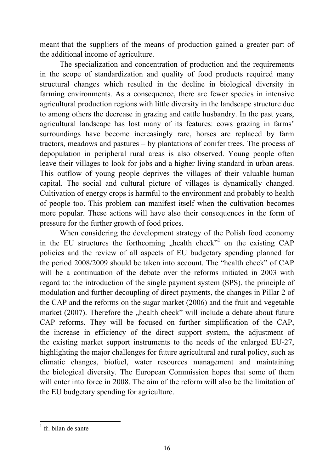meant that the suppliers of the means of production gained a greater part of the additional income of agriculture.

The specialization and concentration of production and the requirements in the scope of standardization and quality of food products required many structural changes which resulted in the decline in biological diversity in farming environments. As a consequence, there are fewer species in intensive agricultural production regions with little diversity in the landscape structure due to among others the decrease in grazing and cattle husbandry. In the past years, agricultural landscape has lost many of its features: cows grazing in farms' surroundings have become increasingly rare, horses are replaced by farm tractors, meadows and pastures – by plantations of conifer trees. The process of depopulation in peripheral rural areas is also observed. Young people often leave their villages to look for jobs and a higher living standard in urban areas. This outflow of young people deprives the villages of their valuable human capital. The social and cultural picture of villages is dynamically changed. Cultivation of energy crops is harmful to the environment and probably to health of people too. This problem can manifest itself when the cultivation becomes more popular. These actions will have also their consequences in the form of pressure for the further growth of food prices.

When considering the development strategy of the Polish food economy in the EU structures the forthcoming "health check"<sup>1</sup> on the existing  $CAP$ policies and the review of all aspects of EU budgetary spending planned for the period 2008/2009 should be taken into account. The "health check" of CAP will be a continuation of the debate over the reforms initiated in 2003 with regard to: the introduction of the single payment system (SPS), the principle of modulation and further decoupling of direct payments, the changes in Pillar 2 of the CAP and the reforms on the sugar market (2006) and the fruit and vegetable market  $(2007)$ . Therefore the "health check" will include a debate about future CAP reforms. They will be focused on further simplification of the CAP, the increase in efficiency of the direct support system, the adjustment of the existing market support instruments to the needs of the enlarged EU-27, highlighting the major challenges for future agricultural and rural policy, such as climatic changes, biofuel, water resources management and maintaining the biological diversity. The European Commission hopes that some of them will enter into force in 2008. The aim of the reform will also be the limitation of the EU budgetary spending for agriculture.

1

<sup>&</sup>lt;sup>1</sup> fr. bilan de sante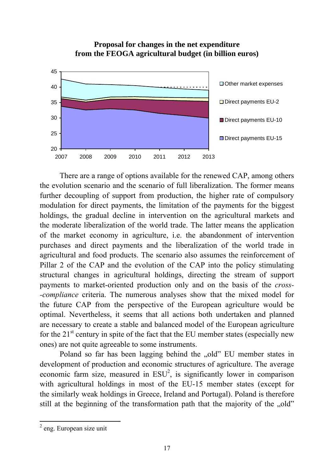#### **Proposal for changes in the net expenditure from the FEOGA agricultural budget (in billion euros)**



There are a range of options available for the renewed CAP, among others the evolution scenario and the scenario of full liberalization. The former means further decoupling of support from production, the higher rate of compulsory modulation for direct payments, the limitation of the payments for the biggest holdings, the gradual decline in intervention on the agricultural markets and the moderate liberalization of the world trade. The latter means the application of the market economy in agriculture, i.e. the abandonment of intervention purchases and direct payments and the liberalization of the world trade in agricultural and food products. The scenario also assumes the reinforcement of Pillar 2 of the CAP and the evolution of the CAP into the policy stimulating structural changes in agricultural holdings, directing the stream of support payments to market-oriented production only and on the basis of the *cross- -compliance* criteria. The numerous analyses show that the mixed model for the future CAP from the perspective of the European agriculture would be optimal. Nevertheless, it seems that all actions both undertaken and planned are necessary to create a stable and balanced model of the European agriculture for the  $21<sup>st</sup>$  century in spite of the fact that the EU member states (especially new ones) are not quite agreeable to some instruments.

Poland so far has been lagging behind the "old" EU member states in development of production and economic structures of agriculture. The average economic farm size, measured in  $ESU^2$ , is significantly lower in comparison with agricultural holdings in most of the EU-15 member states (except for the similarly weak holdings in Greece, Ireland and Portugal). Poland is therefore still at the beginning of the transformation path that the majority of the "old"

<sup>&</sup>lt;sup>2</sup> eng. European size unit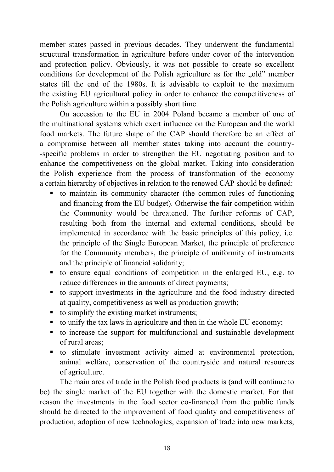member states passed in previous decades. They underwent the fundamental structural transformation in agriculture before under cover of the intervention and protection policy. Obviously, it was not possible to create so excellent conditions for development of the Polish agriculture as for the "old" member states till the end of the 1980s. It is advisable to exploit to the maximum the existing EU agricultural policy in order to enhance the competitiveness of the Polish agriculture within a possibly short time.

On accession to the EU in 2004 Poland became a member of one of the multinational systems which exert influence on the European and the world food markets. The future shape of the CAP should therefore be an effect of a compromise between all member states taking into account the country- -specific problems in order to strengthen the EU negotiating position and to enhance the competitiveness on the global market. Taking into consideration the Polish experience from the process of transformation of the economy a certain hierarchy of objectives in relation to the renewed CAP should be defined:

- to maintain its community character (the common rules of functioning and financing from the EU budget). Otherwise the fair competition within the Community would be threatened. The further reforms of CAP, resulting both from the internal and external conditions, should be implemented in accordance with the basic principles of this policy, i.e. the principle of the Single European Market, the principle of preference for the Community members, the principle of uniformity of instruments and the principle of financial solidarity;
- to ensure equal conditions of competition in the enlarged EU, e.g. to reduce differences in the amounts of direct payments;
- to support investments in the agriculture and the food industry directed at quality, competitiveness as well as production growth;
- $\blacksquare$  to simplify the existing market instruments;
- $\bullet$  to unify the tax laws in agriculture and then in the whole EU economy;
- to increase the support for multifunctional and sustainable development of rural areas;
- to stimulate investment activity aimed at environmental protection, animal welfare, conservation of the countryside and natural resources of agriculture.

The main area of trade in the Polish food products is (and will continue to be) the single market of the EU together with the domestic market. For that reason the investments in the food sector co-financed from the public funds should be directed to the improvement of food quality and competitiveness of production, adoption of new technologies, expansion of trade into new markets,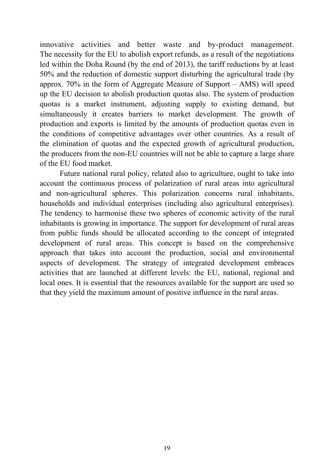innovative activities and better waste and by-product management. The necessity for the EU to abolish export refunds, as a result of the negotiations led within the Doha Round (by the end of 2013), the tariff reductions by at least 50% and the reduction of domestic support disturbing the agricultural trade (by approx. 70% in the form of Aggregate Measure of Support – AMS) will speed up the EU decision to abolish production quotas also. The system of production quotas is a market instrument, adjusting supply to existing demand, but simultaneously it creates barriers to market development. The growth of production and exports is limited by the amounts of production quotas even in the conditions of competitive advantages over other countries. As a result of the elimination of quotas and the expected growth of agricultural production, the producers from the non-EU countries will not be able to capture a large share of the EU food market.

Future national rural policy, related also to agriculture, ought to take into account the continuous process of polarization of rural areas into agricultural and non-agricultural spheres. This polarization concerns rural inhabitants, households and individual enterprises (including also agricultural enterprises). The tendency to harmonise these two spheres of economic activity of the rural inhabitants is growing in importance. The support for development of rural areas from public funds should be allocated according to the concept of integrated development of rural areas. This concept is based on the comprehensive approach that takes into account the production, social and environmental aspects of development. The strategy of integrated development embraces activities that are launched at different levels: the EU, national, regional and local ones. It is essential that the resources available for the support are used so that they yield the maximum amount of positive influence in the rural areas.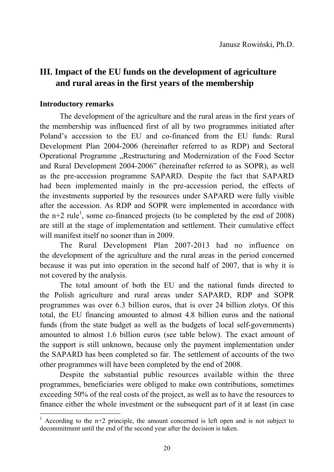# **III. Impact of the EU funds on the development of agriculture and rural areas in the first years of the membership**

### **Introductory remarks**

1

The development of the agriculture and the rural areas in the first years of the membership was influenced first of all by two programmes initiated after Poland's accession to the EU and co-financed from the EU funds: Rural Development Plan 2004-2006 (hereinafter referred to as RDP) and Sectoral Operational Programme "Restructuring and Modernization of the Food Sector and Rural Development 2004-2006" (hereinafter referred to as SOPR), as well as the pre-accession programme SAPARD. Despite the fact that SAPARD had been implemented mainly in the pre-accession period, the effects of the investments supported by the resources under SAPARD were fully visible after the accession. As RDP and SOPR were implemented in accordance with the  $n+2$  rule<sup>1</sup>, some co-financed projects (to be completed by the end of 2008) are still at the stage of implementation and settlement. Their cumulative effect will manifest itself no sooner than in 2009.

The Rural Development Plan 2007-2013 had no influence on the development of the agriculture and the rural areas in the period concerned because it was put into operation in the second half of 2007, that is why it is not covered by the analysis.

The total amount of both the EU and the national funds directed to the Polish agriculture and rural areas under SAPARD, RDP and SOPR programmes was over 6.3 billion euros, that is over 24 billion zlotys. Of this total, the EU financing amounted to almost 4.8 billion euros and the national funds (from the state budget as well as the budgets of local self-governments) amounted to almost 1.6 billion euros (see table below). The exact amount of the support is still unknown, because only the payment implementation under the SAPARD has been completed so far. The settlement of accounts of the two other programmes will have been completed by the end of 2008.

Despite the substantial public resources available within the three programmes, beneficiaries were obliged to make own contributions, sometimes exceeding 50% of the real costs of the project, as well as to have the resources to finance either the whole investment or the subsequent part of it at least (in case

<sup>&</sup>lt;sup>1</sup> According to the  $n+2$  principle, the amount concerned is left open and is not subject to decommitment until the end of the second year after the decision is taken.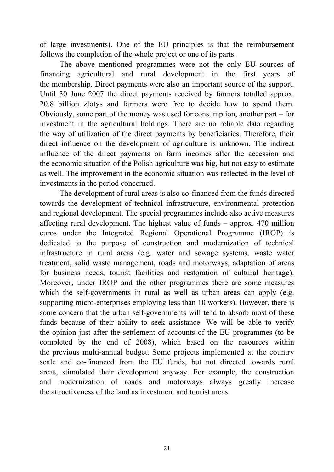of large investments). One of the EU principles is that the reimbursement follows the completion of the whole project or one of its parts.

The above mentioned programmes were not the only EU sources of financing agricultural and rural development in the first years of the membership. Direct payments were also an important source of the support. Until 30 June 2007 the direct payments received by farmers totalled approx. 20.8 billion zlotys and farmers were free to decide how to spend them. Obviously, some part of the money was used for consumption, another part – for investment in the agricultural holdings. There are no reliable data regarding the way of utilization of the direct payments by beneficiaries. Therefore, their direct influence on the development of agriculture is unknown. The indirect influence of the direct payments on farm incomes after the accession and the economic situation of the Polish agriculture was big, but not easy to estimate as well. The improvement in the economic situation was reflected in the level of investments in the period concerned.

The development of rural areas is also co-financed from the funds directed towards the development of technical infrastructure, environmental protection and regional development. The special programmes include also active measures affecting rural development. The highest value of funds – approx. 470 million euros under the Integrated Regional Operational Programme (IROP) is dedicated to the purpose of construction and modernization of technical infrastructure in rural areas (e.g. water and sewage systems, waste water treatment, solid waste management, roads and motorways, adaptation of areas for business needs, tourist facilities and restoration of cultural heritage). Moreover, under IROP and the other programmes there are some measures which the self-governments in rural as well as urban areas can apply (e.g. supporting micro-enterprises employing less than 10 workers). However, there is some concern that the urban self-governments will tend to absorb most of these funds because of their ability to seek assistance. We will be able to verify the opinion just after the settlement of accounts of the EU programmes (to be completed by the end of 2008), which based on the resources within the previous multi-annual budget. Some projects implemented at the country scale and co-financed from the EU funds, but not directed towards rural areas, stimulated their development anyway. For example, the construction and modernization of roads and motorways always greatly increase the attractiveness of the land as investment and tourist areas.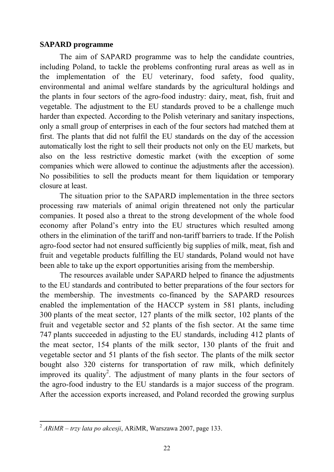#### **SAPARD programme**

The aim of SAPARD programme was to help the candidate countries, including Poland, to tackle the problems confronting rural areas as well as in the implementation of the EU veterinary, food safety, food quality, environmental and animal welfare standards by the agricultural holdings and the plants in four sectors of the agro-food industry: dairy, meat, fish, fruit and vegetable. The adjustment to the EU standards proved to be a challenge much harder than expected. According to the Polish veterinary and sanitary inspections, only a small group of enterprises in each of the four sectors had matched them at first. The plants that did not fulfil the EU standards on the day of the accession automatically lost the right to sell their products not only on the EU markets, but also on the less restrictive domestic market (with the exception of some companies which were allowed to continue the adjustments after the accession). No possibilities to sell the products meant for them liquidation or temporary closure at least.

The situation prior to the SAPARD implementation in the three sectors processing raw materials of animal origin threatened not only the particular companies. It posed also a threat to the strong development of the whole food economy after Poland's entry into the EU structures which resulted among others in the elimination of the tariff and non-tariff barriers to trade. If the Polish agro-food sector had not ensured sufficiently big supplies of milk, meat, fish and fruit and vegetable products fulfilling the EU standards, Poland would not have been able to take up the export opportunities arising from the membership.

The resources available under SAPARD helped to finance the adjustments to the EU standards and contributed to better preparations of the four sectors for the membership. The investments co-financed by the SAPARD resources enabled the implementation of the HACCP system in 581 plants, including 300 plants of the meat sector, 127 plants of the milk sector, 102 plants of the fruit and vegetable sector and 52 plants of the fish sector. At the same time 747 plants succeeded in adjusting to the EU standards, including 412 plants of the meat sector, 154 plants of the milk sector, 130 plants of the fruit and vegetable sector and 51 plants of the fish sector. The plants of the milk sector bought also 320 cisterns for transportation of raw milk, which definitely improved its quality<sup>2</sup>. The adjustment of many plants in the four sectors of the agro-food industry to the EU standards is a major success of the program. After the accession exports increased, and Poland recorded the growing surplus

1

<sup>2</sup> *ARiMR – trzy lata po akcesji*, ARiMR, Warszawa 2007, page 133.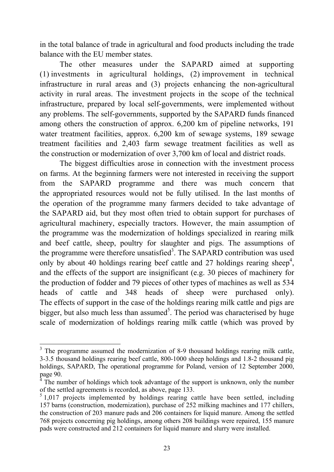in the total balance of trade in agricultural and food products including the trade balance with the EU member states.

The other measures under the SAPARD aimed at supporting (1) investments in agricultural holdings, (2) improvement in technical infrastructure in rural areas and (3) projects enhancing the non-agricultural activity in rural areas. The investment projects in the scope of the technical infrastructure, prepared by local self-governments, were implemented without any problems. The self-governments, supported by the SAPARD funds financed among others the construction of approx. 6,200 km of pipeline networks, 191 water treatment facilities, approx. 6,200 km of sewage systems, 189 sewage treatment facilities and 2,403 farm sewage treatment facilities as well as the construction or modernization of over 3,700 km of local and district roads.

The biggest difficulties arose in connection with the investment process on farms. At the beginning farmers were not interested in receiving the support from the SAPARD programme and there was much concern that the appropriated resources would not be fully utilised. In the last months of the operation of the programme many farmers decided to take advantage of the SAPARD aid, but they most often tried to obtain support for purchases of agricultural machinery, especially tractors. However, the main assumption of the programme was the modernization of holdings specialized in rearing milk and beef cattle, sheep, poultry for slaughter and pigs. The assumptions of the programme were therefore unsatisfied<sup>3</sup>. The SAPARD contribution was used only by about 40 holdings rearing beef cattle and 27 holdings rearing sheep<sup>4</sup>, and the effects of the support are insignificant (e.g. 30 pieces of machinery for the production of fodder and 79 pieces of other types of machines as well as 534 heads of cattle and 348 heads of sheep were purchased only). The effects of support in the case of the holdings rearing milk cattle and pigs are bigger, but also much less than assumed<sup>5</sup>. The period was characterised by huge scale of modernization of holdings rearing milk cattle (which was proved by

1

 $3$  The programme assumed the modernization of 8-9 thousand holdings rearing milk cattle, 3-3.5 thousand holdings rearing beef cattle, 800-1000 sheep holdings and 1.8-2 thousand pig holdings, SAPARD, The operational programme for Poland, version of 12 September 2000, page 90.

<sup>4</sup> The number of holdings which took advantage of the support is unknown, only the number of the settled agreements is recorded, as above, page 133.

<sup>&</sup>lt;sup>5</sup> 1,017 projects implemented by holdings rearing cattle have been settled, including 157 barns (construction, modernization), purchase of 252 milking machines and 177 chillers, the construction of 203 manure pads and 206 containers for liquid manure. Among the settled 768 projects concerning pig holdings, among others 208 buildings were repaired, 155 manure pads were constructed and 212 containers for liquid manure and slurry were installed.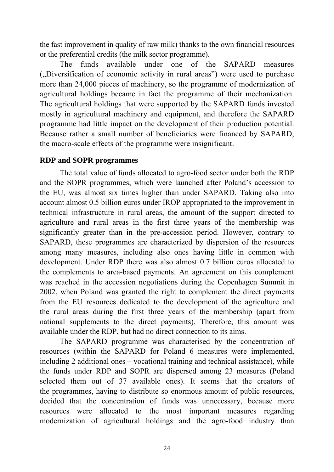the fast improvement in quality of raw milk) thanks to the own financial resources or the preferential credits (the milk sector programme).

The funds available under one of the SAPARD measures ("), Diversification of economic activity in rural areas") were used to purchase more than 24,000 pieces of machinery, so the programme of modernization of agricultural holdings became in fact the programme of their mechanization. The agricultural holdings that were supported by the SAPARD funds invested mostly in agricultural machinery and equipment, and therefore the SAPARD programme had little impact on the development of their production potential. Because rather a small number of beneficiaries were financed by SAPARD, the macro-scale effects of the programme were insignificant.

#### **RDP and SOPR programmes**

The total value of funds allocated to agro-food sector under both the RDP and the SOPR programmes, which were launched after Poland's accession to the EU, was almost six times higher than under SAPARD. Taking also into account almost 0.5 billion euros under IROP appropriated to the improvement in technical infrastructure in rural areas, the amount of the support directed to agriculture and rural areas in the first three years of the membership was significantly greater than in the pre-accession period. However, contrary to SAPARD, these programmes are characterized by dispersion of the resources among many measures, including also ones having little in common with development. Under RDP there was also almost 0.7 billion euros allocated to the complements to area-based payments. An agreement on this complement was reached in the accession negotiations during the Copenhagen Summit in 2002, when Poland was granted the right to complement the direct payments from the EU resources dedicated to the development of the agriculture and the rural areas during the first three years of the membership (apart from national supplements to the direct payments). Therefore, this amount was available under the RDP, but had no direct connection to its aims.

The SAPARD programme was characterised by the concentration of resources (within the SAPARD for Poland 6 measures were implemented, including 2 additional ones – vocational training and technical assistance), while the funds under RDP and SOPR are dispersed among 23 measures (Poland selected them out of 37 available ones). It seems that the creators of the programmes, having to distribute so enormous amount of public resources, decided that the concentration of funds was unnecessary, because more resources were allocated to the most important measures regarding modernization of agricultural holdings and the agro-food industry than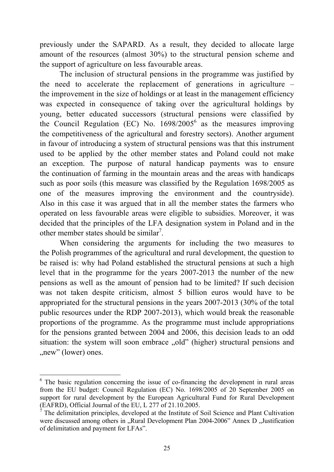previously under the SAPARD. As a result, they decided to allocate large amount of the resources (almost 30%) to the structural pension scheme and the support of agriculture on less favourable areas.

The inclusion of structural pensions in the programme was justified by the need to accelerate the replacement of generations in agriculture – the improvement in the size of holdings or at least in the management efficiency was expected in consequence of taking over the agricultural holdings by young, better educated successors (structural pensions were classified by the Council Regulation (EC) No.  $1698/2005^6$  as the measures improving the competitiveness of the agricultural and forestry sectors). Another argument in favour of introducing a system of structural pensions was that this instrument used to be applied by the other member states and Poland could not make an exception. The purpose of natural handicap payments was to ensure the continuation of farming in the mountain areas and the areas with handicaps such as poor soils (this measure was classified by the Regulation 1698/2005 as one of the measures improving the environment and the countryside). Also in this case it was argued that in all the member states the farmers who operated on less favourable areas were eligible to subsidies. Moreover, it was decided that the principles of the LFA designation system in Poland and in the other member states should be similar<sup>7</sup>.

When considering the arguments for including the two measures to the Polish programmes of the agricultural and rural development, the question to be raised is: why had Poland established the structural pensions at such a high level that in the programme for the years 2007-2013 the number of the new pensions as well as the amount of pension had to be limited? If such decision was not taken despite criticism, almost 5 billion euros would have to be appropriated for the structural pensions in the years 2007-2013 (30% of the total public resources under the RDP 2007-2013), which would break the reasonable proportions of the programme. As the programme must include appropriations for the pensions granted between 2004 and 2006, this decision leads to an odd situation: the system will soon embrace "old" (higher) structural pensions and "new" (lower) ones.

1

<sup>&</sup>lt;sup>6</sup> The basic regulation concerning the issue of co-financing the development in rural areas from the EU budget: Council Regulation (EC) No. 1698/2005 of 20 September 2005 on support for rural development by the European Agricultural Fund for Rural Development (EAFRD), Official Journal of the EU, L 277 of 21.10.2005.

<sup>7</sup> The delimitation principles, developed at the Institute of Soil Science and Plant Cultivation were discussed among others in "Rural Development Plan 2004-2006" Annex D "Justification of delimitation and payment for LFAs".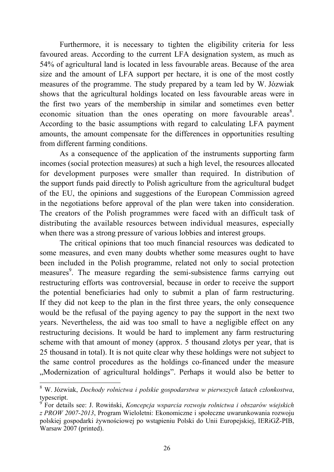Furthermore, it is necessary to tighten the eligibility criteria for less favoured areas. According to the current LFA designation system, as much as 54% of agricultural land is located in less favourable areas. Because of the area size and the amount of LFA support per hectare, it is one of the most costly measures of the programme. The study prepared by a team led by W. Józwiak shows that the agricultural holdings located on less favourable areas were in the first two years of the membership in similar and sometimes even better economic situation than the ones operating on more favourable areas $8$ . According to the basic assumptions with regard to calculating LFA payment amounts, the amount compensate for the differences in opportunities resulting from different farming conditions.

As a consequence of the application of the instruments supporting farm incomes (social protection measures) at such a high level, the resources allocated for development purposes were smaller than required. In distribution of the support funds paid directly to Polish agriculture from the agricultural budget of the EU, the opinions and suggestions of the European Commission agreed in the negotiations before approval of the plan were taken into consideration. The creators of the Polish programmes were faced with an difficult task of distributing the available resources between individual measures, especially when there was a strong pressure of various lobbies and interest groups.

The critical opinions that too much financial resources was dedicated to some measures, and even many doubts whether some measures ought to have been included in the Polish programme, related not only to social protection measures<sup>9</sup>. The measure regarding the semi-subsistence farms carrying out restructuring efforts was controversial, because in order to receive the support the potential beneficiaries had only to submit a plan of farm restructuring. If they did not keep to the plan in the first three years, the only consequence would be the refusal of the paying agency to pay the support in the next two years. Nevertheless, the aid was too small to have a negligible effect on any restructuring decisions. It would be hard to implement any farm restructuring scheme with that amount of money (approx. 5 thousand zlotys per year, that is 25 thousand in total). It is not quite clear why these holdings were not subject to the same control procedures as the holdings co-financed under the measure "Modernization of agricultural holdings". Perhaps it would also be better to

1

<sup>8</sup> W. Józwiak, *Dochody rolnictwa i polskie gospodarstwa w pierwszych latach członkostwa*, typescript.

<sup>9</sup> For details see: J. Rowiński, *Koncepcja wsparcia rozwoju rolnictwa i obszarów wiejskich z PROW 2007-2013*, Program Wieloletni: Ekonomiczne i społeczne uwarunkowania rozwoju polskiej gospodarki żywnościowej po wstąpieniu Polski do Unii Europejskiej, IERiGŻ-PIB, Warsaw 2007 (printed).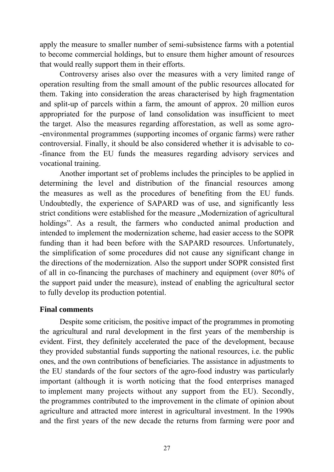apply the measure to smaller number of semi-subsistence farms with a potential to become commercial holdings, but to ensure them higher amount of resources that would really support them in their efforts.

Controversy arises also over the measures with a very limited range of operation resulting from the small amount of the public resources allocated for them. Taking into consideration the areas characterised by high fragmentation and split-up of parcels within a farm, the amount of approx. 20 million euros appropriated for the purpose of land consolidation was insufficient to meet the target. Also the measures regarding afforestation, as well as some agro- -environmental programmes (supporting incomes of organic farms) were rather controversial. Finally, it should be also considered whether it is advisable to co- -finance from the EU funds the measures regarding advisory services and vocational training.

Another important set of problems includes the principles to be applied in determining the level and distribution of the financial resources among the measures as well as the procedures of benefiting from the EU funds. Undoubtedly, the experience of SAPARD was of use, and significantly less strict conditions were established for the measure ... Modernization of agricultural holdings". As a result, the farmers who conducted animal production and intended to implement the modernization scheme, had easier access to the SOPR funding than it had been before with the SAPARD resources. Unfortunately, the simplification of some procedures did not cause any significant change in the directions of the modernization. Also the support under SOPR consisted first of all in co-financing the purchases of machinery and equipment (over 80% of the support paid under the measure), instead of enabling the agricultural sector to fully develop its production potential.

## **Final comments**

Despite some criticism, the positive impact of the programmes in promoting the agricultural and rural development in the first years of the membership is evident. First, they definitely accelerated the pace of the development, because they provided substantial funds supporting the national resources, i.e. the public ones, and the own contributions of beneficiaries. The assistance in adjustments to the EU standards of the four sectors of the agro-food industry was particularly important (although it is worth noticing that the food enterprises managed to implement many projects without any support from the EU). Secondly, the programmes contributed to the improvement in the climate of opinion about agriculture and attracted more interest in agricultural investment. In the 1990s and the first years of the new decade the returns from farming were poor and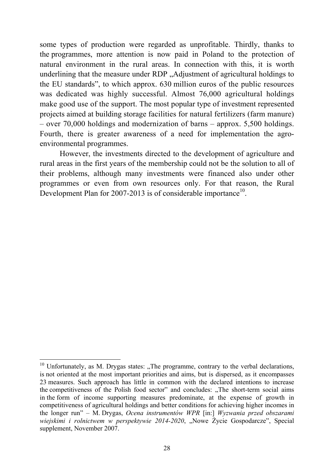some types of production were regarded as unprofitable. Thirdly, thanks to the programmes, more attention is now paid in Poland to the protection of natural environment in the rural areas. In connection with this, it is worth underlining that the measure under RDP "Adjustment of agricultural holdings to the EU standards", to which approx. 630 million euros of the public resources was dedicated was highly successful. Almost 76,000 agricultural holdings make good use of the support. The most popular type of investment represented projects aimed at building storage facilities for natural fertilizers (farm manure) – over 70,000 holdings and modernization of barns – approx. 5,500 holdings. Fourth, there is greater awareness of a need for implementation the agroenvironmental programmes.

However, the investments directed to the development of agriculture and rural areas in the first years of the membership could not be the solution to all of their problems, although many investments were financed also under other programmes or even from own resources only. For that reason, the Rural Development Plan for 2007-2013 is of considerable importance<sup>10</sup>.

<u>.</u>

 $10$  Unfortunately, as M. Drygas states: "The programme, contrary to the verbal declarations, is not oriented at the most important priorities and aims, but is dispersed, as it encompasses 23 measures. Such approach has little in common with the declared intentions to increase the competitiveness of the Polish food sector" and concludes: "The short-term social aims in the form of income supporting measures predominate, at the expense of growth in competitiveness of agricultural holdings and better conditions for achieving higher incomes in the longer run" – M. Drygas, *Ocena instrumentów WPR* [in:] *Wyzwania przed obszarami wiejskimi i rolnictwem w perspektywie 2014-2020*, "Nowe Życie Gospodarcze", Special supplement, November 2007.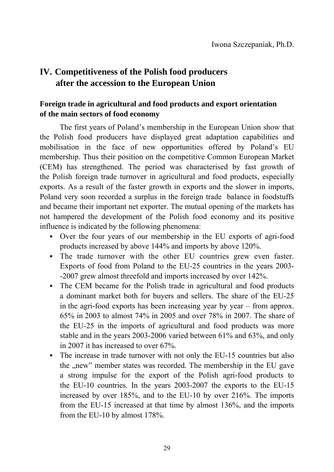# **IV. Competitiveness of the Polish food producers after the accession to the European Union**

## **Foreign trade in agricultural and food products and export orientation of the main sectors of food economy**

The first years of Poland's membership in the European Union show that the Polish food producers have displayed great adaptation capabilities and mobilisation in the face of new opportunities offered by Poland's EU membership. Thus their position on the competitive Common European Market (CEM) has strengthened. The period was characterised by fast growth of the Polish foreign trade turnover in agricultural and food products, especially exports. As a result of the faster growth in exports and the slower in imports, Poland very soon recorded a surplus in the foreign trade balance in foodstuffs and became their important net exporter. The mutual opening of the markets has not hampered the development of the Polish food economy and its positive influence is indicated by the following phenomena:

- Over the four years of our membership in the EU exports of agri-food products increased by above 144% and imports by above 120%.
- The trade turnover with the other EU countries grew even faster. Exports of food from Poland to the EU-25 countries in the years 2003- -2007 grew almost threefold and imports increased by over 142%.
- The CEM became for the Polish trade in agricultural and food products a dominant market both for buyers and sellers. The share of the EU-25 in the agri-food exports has been increasing year by year – from approx. 65% in 2003 to almost 74% in 2005 and over 78% in 2007. The share of the EU-25 in the imports of agricultural and food products was more stable and in the years 2003-2006 varied between 61% and 63%, and only in 2007 it has increased to over 67%.
- The increase in trade turnover with not only the EU-15 countries but also the "new" member states was recorded. The membership in the EU gave a strong impulse for the export of the Polish agri-food products to the EU-10 countries. In the years 2003-2007 the exports to the EU-15 increased by over 185%, and to the EU-10 by over 216%. The imports from the EU-15 increased at that time by almost 136%, and the imports from the EU-10 by almost 178%.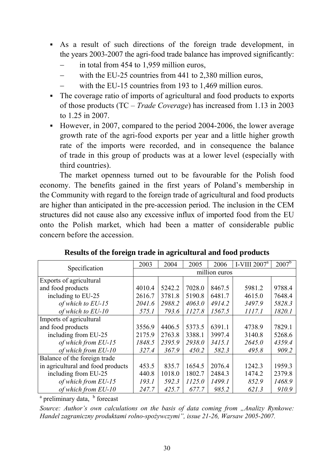- As a result of such directions of the foreign trade development, in the years 2003-2007 the agri-food trade balance has improved significantly:
	- in total from 454 to 1,959 million euros,
	- with the EU-25 countries from 441 to 2,380 million euros,
	- with the EU-15 countries from 193 to 1,469 million euros.
- The coverage ratio of imports of agricultural and food products to exports of those products (TC – *Trade Coverage*) has increased from 1.13 in 2003 to 1.25 in 2007.
- However, in 2007, compared to the period 2004-2006, the lower average growth rate of the agri-food exports per year and a little higher growth rate of the imports were recorded, and in consequence the balance of trade in this group of products was at a lower level (especially with third countries).

The market openness turned out to be favourable for the Polish food economy. The benefits gained in the first years of Poland's membership in the Community with regard to the foreign trade of agricultural and food products are higher than anticipated in the pre-accession period. The inclusion in the CEM structures did not cause also any excessive influx of imported food from the EU onto the Polish market, which had been a matter of considerable public concern before the accession.

|                                   | 2003          | 2004   | 2005   | 2006   | I-VIII $2007^a$ | $2007^{\rm b}$ |  |
|-----------------------------------|---------------|--------|--------|--------|-----------------|----------------|--|
| Specification                     | million euros |        |        |        |                 |                |  |
| Exports of agricultural           |               |        |        |        |                 |                |  |
| and food products                 | 4010.4        | 5242.2 | 7028.0 | 8467.5 | 5981.2          | 9788.4         |  |
| including to EU-25                | 2616.7        | 3781.8 | 5190.8 | 6481.7 | 4615.0          | 7648.4         |  |
| of which to EU-15                 | 2041.6        | 2988.2 | 4063.0 | 4914.2 | 3497.9          | 5828.3         |  |
| of which to $EU-10$               | 575.1         | 793.6  | 1127.8 | 1567.5 | 1117.1          | 1820.1         |  |
| Imports of agricultural           |               |        |        |        |                 |                |  |
| and food products                 | 3556.9        | 4406.5 | 5373.5 | 6391.1 | 4738.9          | 7829.1         |  |
| including from EU-25              | 2175.9        | 2763.8 | 3388.1 | 3997.4 | 3140.8          | 5268.6         |  |
| of which from EU-15               | 1848.5        | 2395.9 | 2938.0 | 3415.1 | 2645.0          | 4359.4         |  |
| of which from EU-10               | 327.4         | 367.9  | 450.2  | 582.3  | 495.8           | 909.2          |  |
| Balance of the foreign trade      |               |        |        |        |                 |                |  |
| in agricultural and food products | 453.5         | 835.7  | 1654.5 | 2076.4 | 1242.3          | 1959.3         |  |
| including from EU-25              | 440.8         | 1018.0 | 1802.7 | 2484.3 | 1474.2          | 2379.8         |  |
| of which from EU-15               | 193.1         | 592.3  | 1125.0 | 1499.1 | 852.9           | 1468.9         |  |
| of which from EU-10               | 247.7         | 425.7  | 677.7  | 985.2  | 621.3           | 910.9          |  |

#### **Results of the foreign trade in agricultural and food products**

<sup>a</sup> preliminary data, <sup>b</sup> forecast

*Source: Author's own calculations on the basis of data coming from ...Analizy Rynkowe: Handel zagraniczny produktami rolno-spożywczymi", issue 21-26, Warsaw 2005-2007.*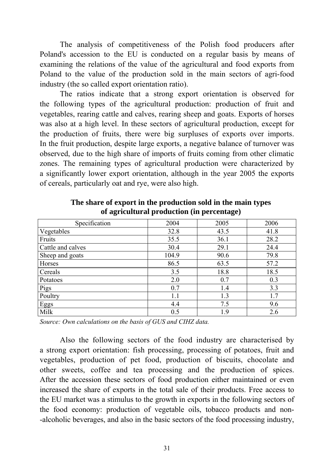The analysis of competitiveness of the Polish food producers after Poland's accession to the EU is conducted on a regular basis by means of examining the relations of the value of the agricultural and food exports from Poland to the value of the production sold in the main sectors of agri-food industry (the so called export orientation ratio).

The ratios indicate that a strong export orientation is observed for the following types of the agricultural production: production of fruit and vegetables, rearing cattle and calves, rearing sheep and goats. Exports of horses was also at a high level. In these sectors of agricultural production, except for the production of fruits, there were big surpluses of exports over imports. In the fruit production, despite large exports, a negative balance of turnover was observed, due to the high share of imports of fruits coming from other climatic zones. The remaining types of agricultural production were characterized by a significantly lower export orientation, although in the year 2005 the exports of cereals, particularly oat and rye, were also high.

| Specification     | 2004  | 2005 | 2006 |
|-------------------|-------|------|------|
| Vegetables        | 32.8  | 43.5 | 41.8 |
| Fruits            | 35.5  | 36.1 | 28.2 |
| Cattle and calves | 30.4  | 29.1 | 24.4 |
| Sheep and goats   | 104.9 | 90.6 | 79.8 |
| Horses            | 86.5  | 63.5 | 57.2 |
| Cereals           | 3.5   | 18.8 | 18.5 |
| Potatoes          | 2.0   | 0.7  | 0.3  |
| Pigs              | 0.7   | 1.4  | 3.3  |
| Poultry           | 1.1   | 1.3  | 1.7  |
| <b>Eggs</b>       | 4.4   | 7.5  | 9.6  |
| Milk              | 0.5   | 1.9  | 2.6  |

**The share of export in the production sold in the main types of agricultural production (in percentage)** 

*Source: Own calculations on the basis of GUS and CIHZ data.*

Also the following sectors of the food industry are characterised by a strong export orientation: fish processing, processing of potatoes, fruit and vegetables, production of pet food, production of biscuits, chocolate and other sweets, coffee and tea processing and the production of spices. After the accession these sectors of food production either maintained or even increased the share of exports in the total sale of their products. Free access to the EU market was a stimulus to the growth in exports in the following sectors of the food economy: production of vegetable oils, tobacco products and non- -alcoholic beverages, and also in the basic sectors of the food processing industry,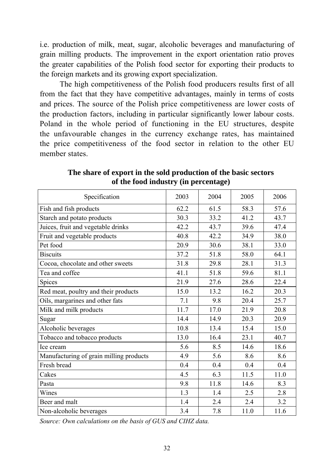i.e. production of milk, meat, sugar, alcoholic beverages and manufacturing of grain milling products. The improvement in the export orientation ratio proves the greater capabilities of the Polish food sector for exporting their products to the foreign markets and its growing export specialization.

The high competitiveness of the Polish food producers results first of all from the fact that they have competitive advantages, mainly in terms of costs and prices. The source of the Polish price competitiveness are lower costs of the production factors, including in particular significantly lower labour costs. Poland in the whole period of functioning in the EU structures, despite the unfavourable changes in the currency exchange rates, has maintained the price competitiveness of the food sector in relation to the other EU member states.

| Specification                           | 2003 | 2004 | 2005 | 2006 |
|-----------------------------------------|------|------|------|------|
| Fish and fish products                  | 62.2 | 61.5 | 58.3 | 57.6 |
| Starch and potato products              | 30.3 | 33.2 | 41.2 | 43.7 |
| Juices, fruit and vegetable drinks      | 42.2 | 43.7 | 39.6 | 47.4 |
| Fruit and vegetable products            | 40.8 | 42.2 | 34.9 | 38.0 |
| Pet food                                | 20.9 | 30.6 | 38.1 | 33.0 |
| <b>Biscuits</b>                         | 37.2 | 51.8 | 58.0 | 64.1 |
| Cocoa, chocolate and other sweets       | 31.8 | 29.8 | 28.1 | 31.3 |
| Tea and coffee                          | 41.1 | 51.8 | 59.6 | 81.1 |
| Spices                                  | 21.9 | 27.6 | 28.6 | 22.4 |
| Red meat, poultry and their products    | 15.0 | 13.2 | 16.2 | 20.3 |
| Oils, margarines and other fats         | 7.1  | 9.8  | 20.4 | 25.7 |
| Milk and milk products                  | 11.7 | 17.0 | 21.9 | 20.8 |
| Sugar                                   | 14.4 | 14.9 | 20.3 | 20.9 |
| Alcoholic beverages                     | 10.8 | 13.4 | 15.4 | 15.0 |
| Tobacco and tobacco products            | 13.0 | 16.4 | 23.1 | 40.7 |
| Ice cream                               | 5.6  | 8.5  | 14.6 | 18.6 |
| Manufacturing of grain milling products | 4.9  | 5.6  | 8.6  | 8.6  |
| Fresh bread                             | 0.4  | 0.4  | 0.4  | 0.4  |
| Cakes                                   | 4.5  | 6.3  | 11.5 | 11.0 |
| Pasta                                   | 9.8  | 11.8 | 14.6 | 8.3  |
| Wines                                   | 1.3  | 1.4  | 2.5  | 2.8  |
| Beer and malt                           | 1.4  | 2.4  | 2.4  | 3.2  |
| Non-alcoholic beverages                 | 3.4  | 7.8  | 11.0 | 11.6 |

**The share of export in the sold production of the basic sectors of the food industry (in percentage)** 

*Source: Own calculations on the basis of GUS and CIHZ data.*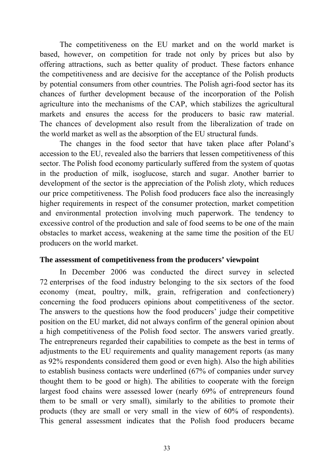The competitiveness on the EU market and on the world market is based, however, on competition for trade not only by prices but also by offering attractions, such as better quality of product. These factors enhance the competitiveness and are decisive for the acceptance of the Polish products by potential consumers from other countries. The Polish agri-food sector has its chances of further development because of the incorporation of the Polish agriculture into the mechanisms of the CAP, which stabilizes the agricultural markets and ensures the access for the producers to basic raw material. The chances of development also result from the liberalization of trade on the world market as well as the absorption of the EU structural funds.

The changes in the food sector that have taken place after Poland's accession to the EU, revealed also the barriers that lessen competitiveness of this sector. The Polish food economy particularly suffered from the system of quotas in the production of milk, isoglucose, starch and sugar. Another barrier to development of the sector is the appreciation of the Polish zloty, which reduces our price competitiveness. The Polish food producers face also the increasingly higher requirements in respect of the consumer protection, market competition and environmental protection involving much paperwork. The tendency to excessive control of the production and sale of food seems to be one of the main obstacles to market access, weakening at the same time the position of the EU producers on the world market.

#### **The assessment of competitiveness from the producers' viewpoint**

In December 2006 was conducted the direct survey in selected 72 enterprises of the food industry belonging to the six sectors of the food economy (meat, poultry, milk, grain, refrigeration and confectionery) concerning the food producers opinions about competitiveness of the sector. The answers to the questions how the food producers' judge their competitive position on the EU market, did not always confirm of the general opinion about a high competitiveness of the Polish food sector. The answers varied greatly. The entrepreneurs regarded their capabilities to compete as the best in terms of adjustments to the EU requirements and quality management reports (as many as 92% respondents considered them good or even high). Also the high abilities to establish business contacts were underlined (67% of companies under survey thought them to be good or high). The abilities to cooperate with the foreign largest food chains were assessed lower (nearly 69% of entrepreneurs found them to be small or very small), similarly to the abilities to promote their products (they are small or very small in the view of 60% of respondents). This general assessment indicates that the Polish food producers became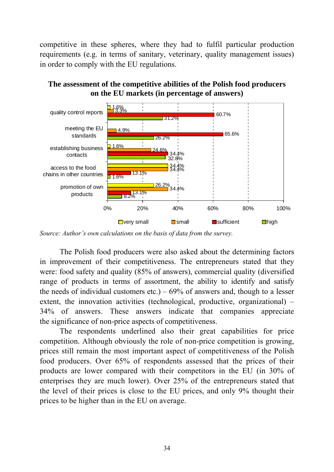competitive in these spheres, where they had to fulfil particular production requirements (e.g. in terms of sanitary, veterinary, quality management issues) in order to comply with the EU regulations.



**The assessment of the competitive abilities of the Polish food producers on the EU markets (in percentage of answers)** 

The Polish food producers were also asked about the determining factors in improvement of their competitiveness. The entrepreneurs stated that they were: food safety and quality (85% of answers), commercial quality (diversified range of products in terms of assortment, the ability to identify and satisfy the needs of individual customers etc.) –  $69\%$  of answers and, though to a lesser extent, the innovation activities (technological, productive, organizational) – 34% of answers. These answers indicate that companies appreciate the significance of non-price aspects of competitiveness.

The respondents underlined also their great capabilities for price competition. Although obviously the role of non-price competition is growing, prices still remain the most important aspect of competitiveness of the Polish food producers. Over 65% of respondents assessed that the prices of their products are lower compared with their competitors in the EU (in 30% of enterprises they are much lower). Over 25% of the entrepreneurs stated that the level of their prices is close to the EU prices, and only 9% thought their prices to be higher than in the EU on average.

*Source: Author's own calculations on the basis of data from the survey.*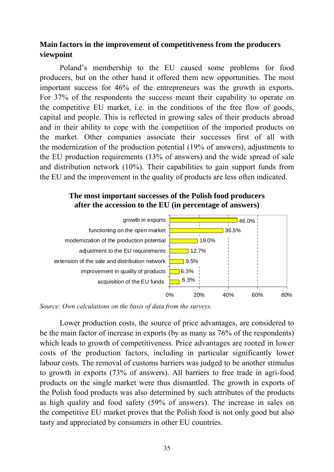## **Main factors in the improvement of competitiveness from the producers viewpoint**

Poland's membership to the EU caused some problems for food producers, but on the other hand it offered them new opportunities. The most important success for 46% of the entrepreneurs was the growth in exports. For 37% of the respondents the success meant their capability to operate on the competitive EU market, i.e. in the conditions of the free flow of goods, capital and people. This is reflected in growing sales of their products abroad and in their ability to cope with the competition of the imported products on the market. Other companies associate their successes first of all with the modernization of the production potential (19% of answers), adjustments to the EU production requirements (13% of answers) and the wide spread of sale and distribution network (10%). Their capabilities to gain support funds from the EU and the improvement in the quality of products are less often indicated.

#### **The most important successes of the Polish food producers after the accession to the EU (in percentage of answers)**



*Source: Own calculations on the basis of data from the surveys.* 

Lower production costs, the source of price advantages, are considered to be the main factor of increase in exports (by as many as 76% of the respondents) which leads to growth of competitiveness. Price advantages are rooted in lower costs of the production factors, including in particular significantly lower labour costs. The removal of customs barriers was judged to be another stimulus to growth in exports (73% of answers). All barriers to free trade in agri-food products on the single market were thus dismantled. The growth in exports of the Polish food products was also determined by such attributes of the products as high quality and food safety (59% of answers). The increase in sales on the competitive EU market proves that the Polish food is not only good but also tasty and appreciated by consumers in other EU countries.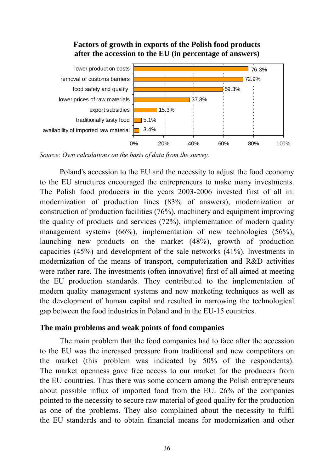### **Factors of growth in exports of the Polish food products after the accession to the EU (in percentage of answers)**



*Source: Own calculations on the basis of data from the survey.* 

Poland's accession to the EU and the necessity to adjust the food economy to the EU structures encouraged the entrepreneurs to make many investments. The Polish food producers in the years 2003-2006 invested first of all in: modernization of production lines (83% of answers), modernization or construction of production facilities (76%), machinery and equipment improving the quality of products and services (72%), implementation of modern quality management systems (66%), implementation of new technologies (56%), launching new products on the market (48%), growth of production capacities (45%) and development of the sale networks (41%). Investments in modernization of the means of transport, computerization and R&D activities were rather rare. The investments (often innovative) first of all aimed at meeting the EU production standards. They contributed to the implementation of modern quality management systems and new marketing techniques as well as the development of human capital and resulted in narrowing the technological gap between the food industries in Poland and in the EU-15 countries.

#### **The main problems and weak points of food companies**

The main problem that the food companies had to face after the accession to the EU was the increased pressure from traditional and new competitors on the market (this problem was indicated by 50% of the respondents). The market openness gave free access to our market for the producers from the EU countries. Thus there was some concern among the Polish entrepreneurs about possible influx of imported food from the EU. 26% of the companies pointed to the necessity to secure raw material of good quality for the production as one of the problems. They also complained about the necessity to fulfil the EU standards and to obtain financial means for modernization and other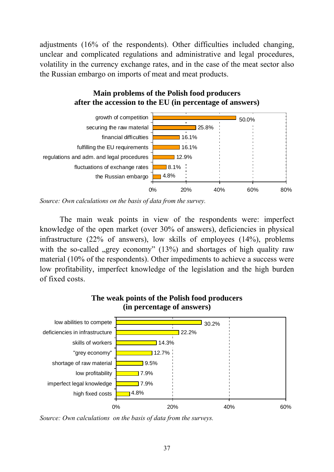adjustments (16% of the respondents). Other difficulties included changing, unclear and complicated regulations and administrative and legal procedures, volatility in the currency exchange rates, and in the case of the meat sector also the Russian embargo on imports of meat and meat products.

## **Main problems of the Polish food producers after the accession to the EU (in percentage of answers)**



*Source: Own calculations on the basis of data from the survey.* 

The main weak points in view of the respondents were: imperfect knowledge of the open market (over 30% of answers), deficiencies in physical infrastructure (22% of answers), low skills of employees (14%), problems with the so-called  $\Box$ grey economy" (13%) and shortages of high quality raw material (10% of the respondents). Other impediments to achieve a success were low profitability, imperfect knowledge of the legislation and the high burden of fixed costs.



*Source: Own calculations on the basis of data from the surveys.*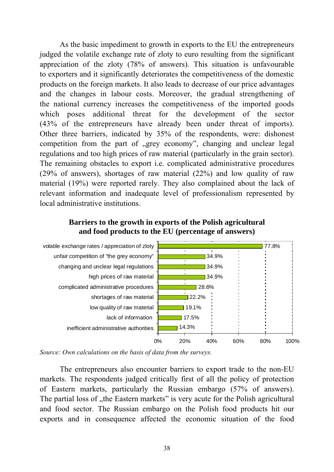As the basic impediment to growth in exports to the EU the entrepreneurs judged the volatile exchange rate of zloty to euro resulting from the significant appreciation of the zloty (78% of answers). This situation is unfavourable to exporters and it significantly deteriorates the competitiveness of the domestic products on the foreign markets. It also leads to decrease of our price advantages and the changes in labour costs. Moreover, the gradual strengthening of the national currency increases the competitiveness of the imported goods which poses additional threat for the development of the sector (43% of the entrepreneurs have already been under threat of imports). Other three barriers, indicated by 35% of the respondents, were: dishonest competition from the part of "grey economy", changing and unclear legal regulations and too high prices of raw material (particularly in the grain sector). The remaining obstacles to export i.e. complicated administrative procedures (29% of answers), shortages of raw material (22%) and low quality of raw material (19%) were reported rarely. They also complained about the lack of relevant information and inadequate level of professionalism represented by local administrative institutions.

### **Barriers to the growth in exports of the Polish agricultural and food products to the EU (percentage of answers)**



*Source: Own calculations on the basis of data from the surveys.* 

The entrepreneurs also encounter barriers to export trade to the non-EU markets. The respondents judged critically first of all the policy of protection of Eastern markets, particularly the Russian embargo (57% of answers). The partial loss of "the Eastern markets" is very acute for the Polish agricultural and food sector. The Russian embargo on the Polish food products hit our exports and in consequence affected the economic situation of the food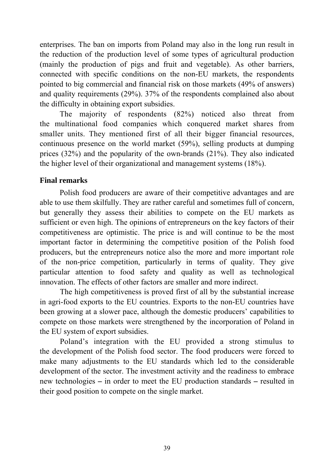enterprises. The ban on imports from Poland may also in the long run result in the reduction of the production level of some types of agricultural production (mainly the production of pigs and fruit and vegetable). As other barriers, connected with specific conditions on the non-EU markets, the respondents pointed to big commercial and financial risk on those markets (49% of answers) and quality requirements (29%). 37% of the respondents complained also about the difficulty in obtaining export subsidies.

The majority of respondents (82%) noticed also threat from the multinational food companies which conquered market shares from smaller units. They mentioned first of all their bigger financial resources, continuous presence on the world market (59%), selling products at dumping prices (32%) and the popularity of the own-brands (21%). They also indicated the higher level of their organizational and management systems (18%).

## **Final remarks**

Polish food producers are aware of their competitive advantages and are able to use them skilfully. They are rather careful and sometimes full of concern, but generally they assess their abilities to compete on the EU markets as sufficient or even high. The opinions of entrepreneurs on the key factors of their competitiveness are optimistic. The price is and will continue to be the most important factor in determining the competitive position of the Polish food producers, but the entrepreneurs notice also the more and more important role of the non-price competition, particularly in terms of quality. They give particular attention to food safety and quality as well as technological innovation. The effects of other factors are smaller and more indirect.

The high competitiveness is proved first of all by the substantial increase in agri-food exports to the EU countries. Exports to the non-EU countries have been growing at a slower pace, although the domestic producers' capabilities to compete on those markets were strengthened by the incorporation of Poland in the EU system of export subsidies.

Poland's integration with the EU provided a strong stimulus to the development of the Polish food sector. The food producers were forced to make many adjustments to the EU standards which led to the considerable development of the sector. The investment activity and the readiness to embrace new technologies **–** in order to meet the EU production standards **–** resulted in their good position to compete on the single market.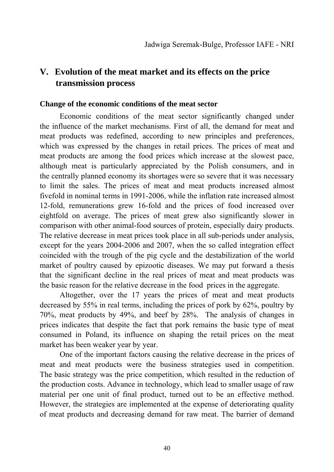# **V. Evolution of the meat market and its effects on the price transmission process**

#### **Change of the economic conditions of the meat sector**

Economic conditions of the meat sector significantly changed under the influence of the market mechanisms. First of all, the demand for meat and meat products was redefined, according to new principles and preferences, which was expressed by the changes in retail prices. The prices of meat and meat products are among the food prices which increase at the slowest pace, although meat is particularly appreciated by the Polish consumers, and in the centrally planned economy its shortages were so severe that it was necessary to limit the sales. The prices of meat and meat products increased almost fivefold in nominal terms in 1991-2006, while the inflation rate increased almost 12-fold, remunerations grew 16-fold and the prices of food increased over eightfold on average. The prices of meat grew also significantly slower in comparison with other animal-food sources of protein, especially dairy products. The relative decrease in meat prices took place in all sub-periods under analysis, except for the years 2004-2006 and 2007, when the so called integration effect coincided with the trough of the pig cycle and the destabilization of the world market of poultry caused by epizootic diseases. We may put forward a thesis that the significant decline in the real prices of meat and meat products was the basic reason for the relative decrease in the food prices in the aggregate.

Altogether, over the 17 years the prices of meat and meat products decreased by 55% in real terms, including the prices of pork by 62%, poultry by 70%, meat products by 49%, and beef by 28%. The analysis of changes in prices indicates that despite the fact that pork remains the basic type of meat consumed in Poland, its influence on shaping the retail prices on the meat market has been weaker year by year.

One of the important factors causing the relative decrease in the prices of meat and meat products were the business strategies used in competition. The basic strategy was the price competition, which resulted in the reduction of the production costs. Advance in technology, which lead to smaller usage of raw material per one unit of final product, turned out to be an effective method. However, the strategies are implemented at the expense of deteriorating quality of meat products and decreasing demand for raw meat. The barrier of demand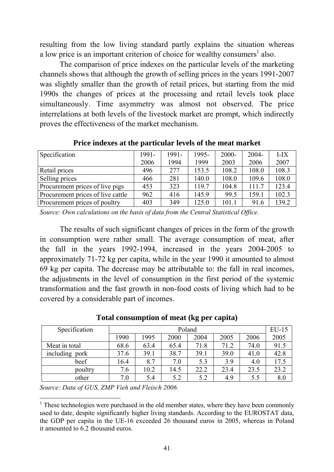resulting from the low living standard partly explains the situation whereas a low price is an important criterion of choice for wealthy consumers<sup>1</sup> also.

The comparison of price indexes on the particular levels of the marketing channels shows that although the growth of selling prices in the years 1991-2007 was slightly smaller than the growth of retail prices, but starting from the mid 1990s the changes of prices at the processing and retail levels took place simultaneously. Time asymmetry was almost not observed. The price interrelations at both levels of the livestock market are prompt, which indirectly proves the effectiveness of the market mechanism.

| <b>Specification</b>              | 1991- | 1991- | 1995- | 2000- | $2004 -$ | $I-IX$ |
|-----------------------------------|-------|-------|-------|-------|----------|--------|
|                                   | 2006  | 1994  | 1999  | 2003  | 2006     | 2007   |
| Retail prices                     | 496   | 277   | 153.5 | 108.2 | 108.0    | 108.3  |
| Selling prices                    | 466   | 281   | 140.0 | 108.0 | 109.6    | 108.0  |
| Procurement prices of live pigs   | 453   | 323   | 119.7 | 104.8 | 111.7    | 123.4  |
| Procurement prices of live cattle | 962   | 416   | 145.9 | 99.5  | 159.1    | 102.3  |
| Procurement prices of poultry     | 403   | 349   | 125.0 | 101.1 | 91.6     | 139.2  |

**Price indexes at the particular levels of the meat market** 

*Source: Own calculations on the basis of data from the Central Statistical Office.* 

The results of such significant changes of prices in the form of the growth in consumption were rather small. The average consumption of meat, after the fall in the years 1992-1994, increased in the years 2004-2005 to approximately 71-72 kg per capita, while in the year 1990 it amounted to almost 69 kg per capita. The decrease may be attributable to: the fall in real incomes, the adjustments in the level of consumption in the first period of the systemic transformation and the fast growth in non-food costs of living which had to be covered by a considerable part of incomes.

| Specification  | Poland |      |      |      |      | $EU-15$ |      |
|----------------|--------|------|------|------|------|---------|------|
|                | 1990   | 1995 | 2000 | 2004 | 2005 | 2006    | 2005 |
| Meat in total  | 68.6   | 63.4 | 65.4 | 71.8 | 71.2 | 74.0    | 91.5 |
| including pork | 37.6   | 39.1 | 38.7 | 39.1 | 39.0 | 41.0    | 42.8 |
| beef           | 16.4   | 8.7  | 7.0  | 5.3  | 3.9  | 4.0     | 17.5 |
| poultry        | 7.6    | 10.2 | 14.5 | 22.2 | 23.4 | 23.5    | 23.2 |
| other          | 7.0    | 5.4  | 5.2  | 5.2  | 4.9  | 5.5     | 8.0  |

**Total consumption of meat (kg per capita)** 

*Source: Data of GUS, ZMP Vieh and Fleisch 2006.* 

<sup>&</sup>lt;u>.</u> <sup>1</sup> These technologies were purchased in the old member states, where they have been commonly used to date, despite significantly higher living standards. According to the EUROSTAT data, the GDP per capita in the UE-16 exceeded 26 thousand euros in 2005, whereas in Poland it amounted to 6.2 thousand euros.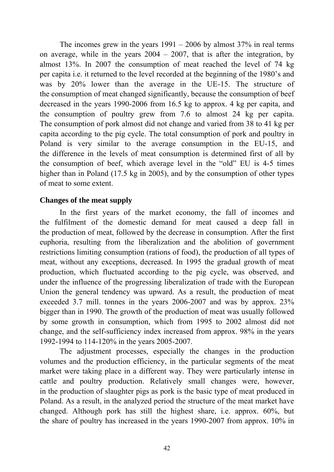The incomes grew in the years  $1991 - 2006$  by almost  $37\%$  in real terms on average, while in the years  $2004 - 2007$ , that is after the integration, by almost 13%. In 2007 the consumption of meat reached the level of 74 kg per capita i.e. it returned to the level recorded at the beginning of the 1980's and was by 20% lower than the average in the UE-15. The structure of the consumption of meat changed significantly, because the consumption of beef decreased in the years 1990-2006 from 16.5 kg to approx. 4 kg per capita, and the consumption of poultry grew from 7.6 to almost 24 kg per capita. The consumption of pork almost did not change and varied from 38 to 41 kg per capita according to the pig cycle. The total consumption of pork and poultry in Poland is very similar to the average consumption in the EU-15, and the difference in the levels of meat consumption is determined first of all by the consumption of beef, which average level in the "old" EU is 4-5 times higher than in Poland (17.5 kg in 2005), and by the consumption of other types of meat to some extent.

### **Changes of the meat supply**

In the first years of the market economy, the fall of incomes and the fulfilment of the domestic demand for meat caused a deep fall in the production of meat, followed by the decrease in consumption. After the first euphoria, resulting from the liberalization and the abolition of government restrictions limiting consumption (rations of food), the production of all types of meat, without any exceptions, decreased. In 1995 the gradual growth of meat production, which fluctuated according to the pig cycle, was observed, and under the influence of the progressing liberalization of trade with the European Union the general tendency was upward. As a result, the production of meat exceeded 3.7 mill. tonnes in the years 2006-2007 and was by approx. 23% bigger than in 1990. The growth of the production of meat was usually followed by some growth in consumption, which from 1995 to 2002 almost did not change, and the self-sufficiency index increased from approx. 98% in the years 1992-1994 to 114-120% in the years 2005-2007.

The adjustment processes, especially the changes in the production volumes and the production efficiency, in the particular segments of the meat market were taking place in a different way. They were particularly intense in cattle and poultry production. Relatively small changes were, however, in the production of slaughter pigs as pork is the basic type of meat produced in Poland. As a result, in the analyzed period the structure of the meat market have changed. Although pork has still the highest share, i.e. approx. 60%, but the share of poultry has increased in the years 1990-2007 from approx. 10% in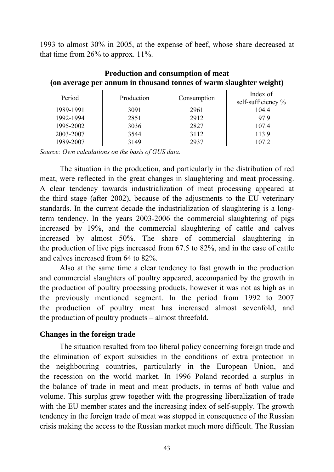1993 to almost 30% in 2005, at the expense of beef, whose share decreased at that time from 26% to approx. 11%.

| Period    | Production | Consumption | Index of<br>self-sufficiency % |
|-----------|------------|-------------|--------------------------------|
| 1989-1991 | 3091       | 2961        | 104.4                          |
| 1992-1994 | 2851       | 2912        | 97.9                           |
| 1995-2002 | 3036       | 2827        | 107.4                          |
| 2003-2007 | 3544       | 3112        | 113.9                          |
| 1989-2007 | 3149       | 2937        | 107.2                          |

**Production and consumption of meat (on average per annum in thousand tonnes of warm slaughter weight)** 

*Source: Own calculations on the basis of GUS data.* 

The situation in the production, and particularly in the distribution of red meat, were reflected in the great changes in slaughtering and meat processing. A clear tendency towards industrialization of meat processing appeared at the third stage (after 2002), because of the adjustments to the EU veterinary standards. In the current decade the industrialization of slaughtering is a longterm tendency. In the years 2003-2006 the commercial slaughtering of pigs increased by 19%, and the commercial slaughtering of cattle and calves increased by almost 50%. The share of commercial slaughtering in the production of live pigs increased from 67.5 to 82%, and in the case of cattle and calves increased from 64 to 82%.

Also at the same time a clear tendency to fast growth in the production and commercial slaughters of poultry appeared, accompanied by the growth in the production of poultry processing products, however it was not as high as in the previously mentioned segment. In the period from 1992 to 2007 the production of poultry meat has increased almost sevenfold, and the production of poultry products – almost threefold.

### **Changes in the foreign trade**

The situation resulted from too liberal policy concerning foreign trade and the elimination of export subsidies in the conditions of extra protection in the neighbouring countries, particularly in the European Union, and the recession on the world market. In 1996 Poland recorded a surplus in the balance of trade in meat and meat products, in terms of both value and volume. This surplus grew together with the progressing liberalization of trade with the EU member states and the increasing index of self-supply. The growth tendency in the foreign trade of meat was stopped in consequence of the Russian crisis making the access to the Russian market much more difficult. The Russian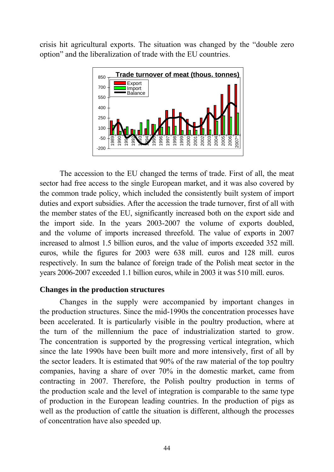crisis hit agricultural exports. The situation was changed by the "double zero option" and the liberalization of trade with the EU countries.



The accession to the EU changed the terms of trade. First of all, the meat sector had free access to the single European market, and it was also covered by the common trade policy, which included the consistently built system of import duties and export subsidies. After the accession the trade turnover, first of all with the member states of the EU, significantly increased both on the export side and the import side. In the years 2003-2007 the volume of exports doubled, and the volume of imports increased threefold. The value of exports in 2007 increased to almost 1.5 billion euros, and the value of imports exceeded 352 mill. euros, while the figures for 2003 were 638 mill. euros and 128 mill. euros respectively. In sum the balance of foreign trade of the Polish meat sector in the years 2006-2007 exceeded 1.1 billion euros, while in 2003 it was 510 mill. euros.

### **Changes in the production structures**

Changes in the supply were accompanied by important changes in the production structures. Since the mid-1990s the concentration processes have been accelerated. It is particularly visible in the poultry production, where at the turn of the millennium the pace of industrialization started to grow. The concentration is supported by the progressing vertical integration, which since the late 1990s have been built more and more intensively, first of all by the sector leaders. It is estimated that 90% of the raw material of the top poultry companies, having a share of over 70% in the domestic market, came from contracting in 2007. Therefore, the Polish poultry production in terms of the production scale and the level of integration is comparable to the same type of production in the European leading countries. In the production of pigs as well as the production of cattle the situation is different, although the processes of concentration have also speeded up.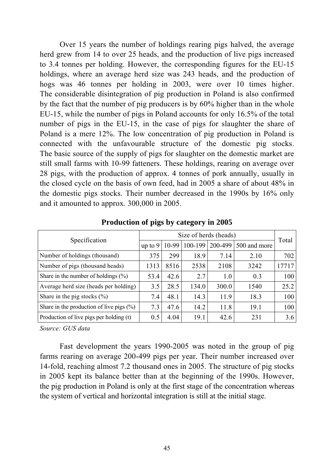Over 15 years the number of holdings rearing pigs halved, the average herd grew from 14 to over 25 heads, and the production of live pigs increased to 3.4 tonnes per holding. However, the corresponding figures for the EU-15 holdings, where an average herd size was 243 heads, and the production of hogs was 46 tonnes per holding in 2003, were over 10 times higher. The considerable disintegration of pig production in Poland is also confirmed by the fact that the number of pig producers is by 60% higher than in the whole EU-15, while the number of pigs in Poland accounts for only 16.5% of the total number of pigs in the EU-15, in the case of pigs for slaughter the share of Poland is a mere 12%. The low concentration of pig production in Poland is connected with the unfavourable structure of the domestic pig stocks. The basic source of the supply of pigs for slaughter on the domestic market are still small farms with 10-99 fatteners. These holdings, rearing on average over 28 pigs, with the production of approx. 4 tonnes of pork annually, usually in the closed cycle on the basis of own feed, had in 2005 a share of about 48% in the domestic pigs stocks. Their number decreased in the 1990s by 16% only and it amounted to approx. 300,000 in 2005.

| Specification                               | Size of herds (heads) |       |         |       |                      |       |  |
|---------------------------------------------|-----------------------|-------|---------|-------|----------------------|-------|--|
|                                             | up to $9$             | 10-99 | 100-199 |       | 200-499 500 and more | Total |  |
| Number of holdings (thousand)               | 375                   | 299   | 18.9    | 7.14  | 2.10                 | 702   |  |
| Number of pigs (thousand heads)             | 1313                  | 8516  | 2538    | 2108  | 3242                 | 17717 |  |
| Share in the number of holdings $(\% )$     | 53.4                  | 42.6  | 2.7     | 1.0   | 0.3                  | 100   |  |
| Average herd size (heads per holding)       | 3.5                   | 28.5  | 134.0   | 300.0 | 1540                 | 25.2  |  |
| Share in the pig stocks $(\% )$             | 7.4                   | 48.1  | 14.3    | 11.9  | 18.3                 | 100   |  |
| Share in the production of live pigs $(\%)$ | 7.3                   | 47.6  | 14.2    | 11.8  | 19.1                 | 100   |  |
| Production of live pigs per holding (t)     | 0.5                   | 4.04  | 19.1    | 42.6  | 231                  | 3.6   |  |

**Production of pigs by category in 2005** 

*Source: GUS data* 

Fast development the years 1990-2005 was noted in the group of pig farms rearing on average 200-499 pigs per year. Their number increased over 14-fold, reaching almost 7.2 thousand ones in 2005. The structure of pig stocks in 2005 kept its balance better than at the beginning of the 1990s. However, the pig production in Poland is only at the first stage of the concentration whereas the system of vertical and horizontal integration is still at the initial stage.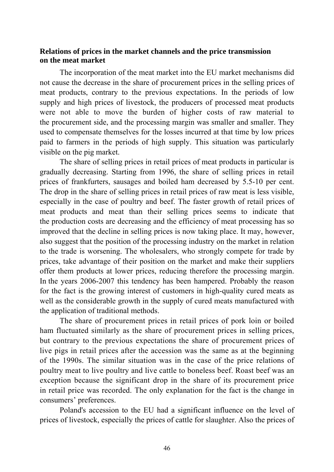### **Relations of prices in the market channels and the price transmission on the meat market**

The incorporation of the meat market into the EU market mechanisms did not cause the decrease in the share of procurement prices in the selling prices of meat products, contrary to the previous expectations. In the periods of low supply and high prices of livestock, the producers of processed meat products were not able to move the burden of higher costs of raw material to the procurement side, and the processing margin was smaller and smaller. They used to compensate themselves for the losses incurred at that time by low prices paid to farmers in the periods of high supply. This situation was particularly visible on the pig market.

The share of selling prices in retail prices of meat products in particular is gradually decreasing. Starting from 1996, the share of selling prices in retail prices of frankfurters, sausages and boiled ham decreased by 5.5-10 per cent. The drop in the share of selling prices in retail prices of raw meat is less visible, especially in the case of poultry and beef. The faster growth of retail prices of meat products and meat than their selling prices seems to indicate that the production costs are decreasing and the efficiency of meat processing has so improved that the decline in selling prices is now taking place. It may, however, also suggest that the position of the processing industry on the market in relation to the trade is worsening. The wholesalers, who strongly compete for trade by prices, take advantage of their position on the market and make their suppliers offer them products at lower prices, reducing therefore the processing margin. In the years 2006-2007 this tendency has been hampered. Probably the reason for the fact is the growing interest of customers in high-quality cured meats as well as the considerable growth in the supply of cured meats manufactured with the application of traditional methods.

The share of procurement prices in retail prices of pork loin or boiled ham fluctuated similarly as the share of procurement prices in selling prices, but contrary to the previous expectations the share of procurement prices of live pigs in retail prices after the accession was the same as at the beginning of the 1990s. The similar situation was in the case of the price relations of poultry meat to live poultry and live cattle to boneless beef. Roast beef was an exception because the significant drop in the share of its procurement price in retail price was recorded. The only explanation for the fact is the change in consumers' preferences.

Poland's accession to the EU had a significant influence on the level of prices of livestock, especially the prices of cattle for slaughter. Also the prices of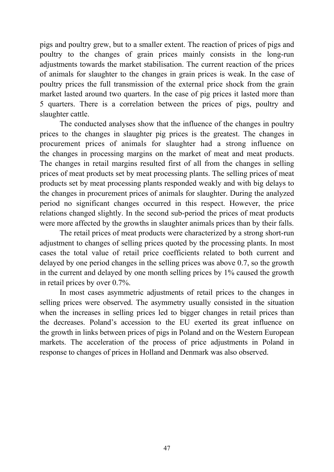pigs and poultry grew, but to a smaller extent. The reaction of prices of pigs and poultry to the changes of grain prices mainly consists in the long-run adjustments towards the market stabilisation. The current reaction of the prices of animals for slaughter to the changes in grain prices is weak. In the case of poultry prices the full transmission of the external price shock from the grain market lasted around two quarters. In the case of pig prices it lasted more than 5 quarters. There is a correlation between the prices of pigs, poultry and slaughter cattle.

The conducted analyses show that the influence of the changes in poultry prices to the changes in slaughter pig prices is the greatest. The changes in procurement prices of animals for slaughter had a strong influence on the changes in processing margins on the market of meat and meat products. The changes in retail margins resulted first of all from the changes in selling prices of meat products set by meat processing plants. The selling prices of meat products set by meat processing plants responded weakly and with big delays to the changes in procurement prices of animals for slaughter. During the analyzed period no significant changes occurred in this respect. However, the price relations changed slightly. In the second sub-period the prices of meat products were more affected by the growths in slaughter animals prices than by their falls.

The retail prices of meat products were characterized by a strong short-run adjustment to changes of selling prices quoted by the processing plants. In most cases the total value of retail price coefficients related to both current and delayed by one period changes in the selling prices was above 0.7, so the growth in the current and delayed by one month selling prices by 1% caused the growth in retail prices by over 0.7%.

In most cases asymmetric adjustments of retail prices to the changes in selling prices were observed. The asymmetry usually consisted in the situation when the increases in selling prices led to bigger changes in retail prices than the decreases. Poland's accession to the EU exerted its great influence on the growth in links between prices of pigs in Poland and on the Western European markets. The acceleration of the process of price adjustments in Poland in response to changes of prices in Holland and Denmark was also observed.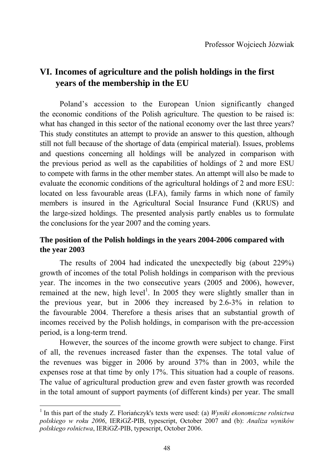# **VI. Incomes of agriculture and the polish holdings in the first years of the membership in the EU**

Poland's accession to the European Union significantly changed the economic conditions of the Polish agriculture. The question to be raised is: what has changed in this sector of the national economy over the last three years? This study constitutes an attempt to provide an answer to this question, although still not full because of the shortage of data (empirical material). Issues, problems and questions concerning all holdings will be analyzed in comparison with the previous period as well as the capabilities of holdings of 2 and more ESU to compete with farms in the other member states. An attempt will also be made to evaluate the economic conditions of the agricultural holdings of 2 and more ESU: located on less favourable areas (LFA), family farms in which none of family members is insured in the Agricultural Social Insurance Fund (KRUS) and the large-sized holdings. The presented analysis partly enables us to formulate the conclusions for the year 2007 and the coming years.

## **The position of the Polish holdings in the years 2004-2006 compared with the year 2003**

The results of 2004 had indicated the unexpectedly big (about 229%) growth of incomes of the total Polish holdings in comparison with the previous year. The incomes in the two consecutive years (2005 and 2006), however, remained at the new, high level<sup>1</sup>. In 2005 they were slightly smaller than in the previous year, but in 2006 they increased by 2.6-3% in relation to the favourable 2004. Therefore a thesis arises that an substantial growth of incomes received by the Polish holdings, in comparison with the pre-accession period, is a long-term trend.

However, the sources of the income growth were subject to change. First of all, the revenues increased faster than the expenses. The total value of the revenues was bigger in 2006 by around 37% than in 2003, while the expenses rose at that time by only 17%. This situation had a couple of reasons. The value of agricultural production grew and even faster growth was recorded in the total amount of support payments (of different kinds) per year. The small

<u>.</u>

<sup>1</sup> In this part of the study Z. Floriańczyk's texts were used: (a) *Wyniki ekonomiczne rolnictwa polskiego w roku 2006*, IERiGŻ-PIB, typescript, October 2007 and (b): *Analiza wyników polskiego rolnictwa*, IERiGŻ-PIB, typescript, October 2006.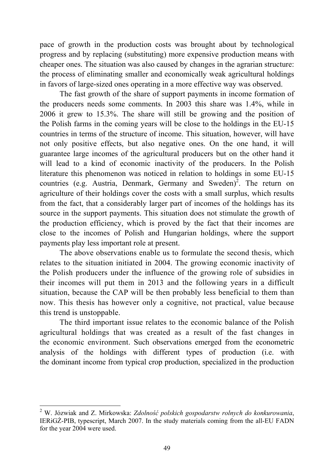pace of growth in the production costs was brought about by technological progress and by replacing (substituting) more expensive production means with cheaper ones. The situation was also caused by changes in the agrarian structure: the process of eliminating smaller and economically weak agricultural holdings in favors of large-sized ones operating in a more effective way was observed.

The fast growth of the share of support payments in income formation of the producers needs some comments. In 2003 this share was 1.4%, while in 2006 it grew to 15.3%. The share will still be growing and the position of the Polish farms in the coming years will be close to the holdings in the EU-15 countries in terms of the structure of income. This situation, however, will have not only positive effects, but also negative ones. On the one hand, it will guarantee large incomes of the agricultural producers but on the other hand it will lead to a kind of economic inactivity of the producers. In the Polish literature this phenomenon was noticed in relation to holdings in some EU-15 countries (e.g. Austria, Denmark, Germany and Sweden)<sup>2</sup>. The return on agriculture of their holdings cover the costs with a small surplus, which results from the fact, that a considerably larger part of incomes of the holdings has its source in the support payments. This situation does not stimulate the growth of the production efficiency, which is proved by the fact that their incomes are close to the incomes of Polish and Hungarian holdings, where the support payments play less important role at present.

The above observations enable us to formulate the second thesis, which relates to the situation initiated in 2004. The growing economic inactivity of the Polish producers under the influence of the growing role of subsidies in their incomes will put them in 2013 and the following years in a difficult situation, because the CAP will be then probably less beneficial to them than now. This thesis has however only a cognitive, not practical, value because this trend is unstoppable.

The third important issue relates to the economic balance of the Polish agricultural holdings that was created as a result of the fast changes in the economic environment. Such observations emerged from the econometric analysis of the holdings with different types of production (i.e. with the dominant income from typical crop production, specialized in the production

<u>.</u>

<sup>2</sup> W. Józwiak and Z. Mirkowska: *Zdolność polskich gospodarstw rolnych do konkurowania*, IERiGŻ-PIB, typescript, March 2007. In the study materials coming from the all-EU FADN for the year 2004 were used.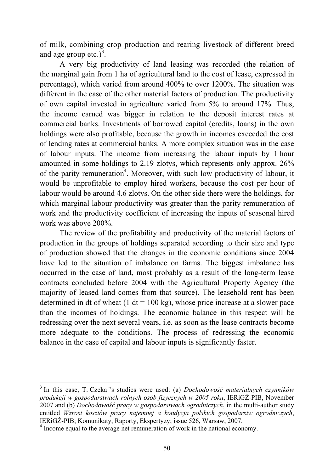of milk, combining crop production and rearing livestock of different breed and age group etc.)<sup>3</sup>.

A very big productivity of land leasing was recorded (the relation of the marginal gain from 1 ha of agricultural land to the cost of lease, expressed in percentage), which varied from around 400% to over 1200%. The situation was different in the case of the other material factors of production. The productivity of own capital invested in agriculture varied from 5% to around 17%. Thus, the income earned was bigger in relation to the deposit interest rates at commercial banks. Investments of borrowed capital (credits, loans) in the own holdings were also profitable, because the growth in incomes exceeded the cost of lending rates at commercial banks. A more complex situation was in the case of labour inputs. The income from increasing the labour inputs by 1 hour amounted in some holdings to 2.19 zlotys, which represents only approx. 26% of the parity remuneration<sup>4</sup>. Moreover, with such low productivity of labour, it would be unprofitable to employ hired workers, because the cost per hour of labour would be around 4.6 zlotys. On the other side there were the holdings, for which marginal labour productivity was greater than the parity remuneration of work and the productivity coefficient of increasing the inputs of seasonal hired work was above 200%.

The review of the profitability and productivity of the material factors of production in the groups of holdings separated according to their size and type of production showed that the changes in the economic conditions since 2004 have led to the situation of imbalance on farms. The biggest imbalance has occurred in the case of land, most probably as a result of the long-term lease contracts concluded before 2004 with the Agricultural Property Agency (the majority of leased land comes from that source). The leasehold rent has been determined in dt of wheat (1 dt =  $100 \text{ kg}$ ), whose price increase at a slower pace than the incomes of holdings. The economic balance in this respect will be redressing over the next several years, i.e. as soon as the lease contracts become more adequate to the conditions. The process of redressing the economic balance in the case of capital and labour inputs is significantly faster.

1

<sup>3</sup> In this case, T. Czekaj's studies were used: (a) *Dochodowość materialnych czynników produkcji w gospodarstwach rolnych osób fizycznych w 2005 roku*, IERiGŻ-PIB, November 2007 and (b) *Dochodowość pracy w gospodarstwach ogrodniczych*, in the multi-author study entitled *Wzrost kosztów pracy najemnej a kondycja polskich gospodarstw ogrodniczych*, IERiGŻ-PIB; Komunikaty, Raporty, Ekspertyzy; issue 526, Warsaw, 2007.

<sup>&</sup>lt;sup>4</sup> Income equal to the average net remuneration of work in the national economy.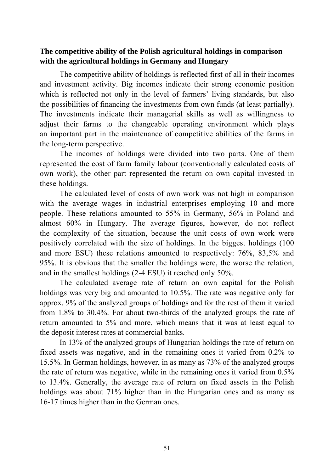## **The competitive ability of the Polish agricultural holdings in comparison with the agricultural holdings in Germany and Hungary**

The competitive ability of holdings is reflected first of all in their incomes and investment activity. Big incomes indicate their strong economic position which is reflected not only in the level of farmers' living standards, but also the possibilities of financing the investments from own funds (at least partially). The investments indicate their managerial skills as well as willingness to adjust their farms to the changeable operating environment which plays an important part in the maintenance of competitive abilities of the farms in the long-term perspective.

The incomes of holdings were divided into two parts. One of them represented the cost of farm family labour (conventionally calculated costs of own work), the other part represented the return on own capital invested in these holdings.

The calculated level of costs of own work was not high in comparison with the average wages in industrial enterprises employing 10 and more people. These relations amounted to 55% in Germany, 56% in Poland and almost 60% in Hungary. The average figures, however, do not reflect the complexity of the situation, because the unit costs of own work were positively correlated with the size of holdings. In the biggest holdings (100 and more ESU) these relations amounted to respectively: 76%, 83,5% and 95%. It is obvious that the smaller the holdings were, the worse the relation, and in the smallest holdings (2-4 ESU) it reached only 50%.

The calculated average rate of return on own capital for the Polish holdings was very big and amounted to 10.5%. The rate was negative only for approx. 9% of the analyzed groups of holdings and for the rest of them it varied from 1.8% to 30.4%. For about two-thirds of the analyzed groups the rate of return amounted to 5% and more, which means that it was at least equal to the deposit interest rates at commercial banks.

In 13% of the analyzed groups of Hungarian holdings the rate of return on fixed assets was negative, and in the remaining ones it varied from 0.2% to 15.5%. In German holdings, however, in as many as 73% of the analyzed groups the rate of return was negative, while in the remaining ones it varied from 0.5% to 13.4%. Generally, the average rate of return on fixed assets in the Polish holdings was about 71% higher than in the Hungarian ones and as many as 16-17 times higher than in the German ones.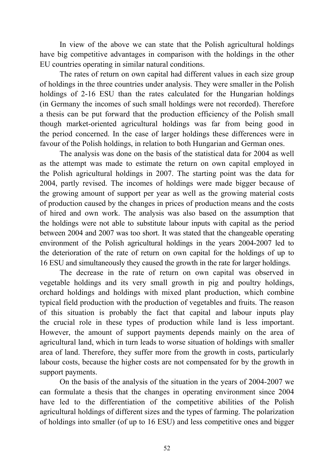In view of the above we can state that the Polish agricultural holdings have big competitive advantages in comparison with the holdings in the other EU countries operating in similar natural conditions.

The rates of return on own capital had different values in each size group of holdings in the three countries under analysis. They were smaller in the Polish holdings of 2-16 ESU than the rates calculated for the Hungarian holdings (in Germany the incomes of such small holdings were not recorded). Therefore a thesis can be put forward that the production efficiency of the Polish small though market-oriented agricultural holdings was far from being good in the period concerned. In the case of larger holdings these differences were in favour of the Polish holdings, in relation to both Hungarian and German ones.

The analysis was done on the basis of the statistical data for 2004 as well as the attempt was made to estimate the return on own capital employed in the Polish agricultural holdings in 2007. The starting point was the data for 2004, partly revised. The incomes of holdings were made bigger because of the growing amount of support per year as well as the growing material costs of production caused by the changes in prices of production means and the costs of hired and own work. The analysis was also based on the assumption that the holdings were not able to substitute labour inputs with capital as the period between 2004 and 2007 was too short. It was stated that the changeable operating environment of the Polish agricultural holdings in the years 2004-2007 led to the deterioration of the rate of return on own capital for the holdings of up to 16 ESU and simultaneously they caused the growth in the rate for larger holdings.

The decrease in the rate of return on own capital was observed in vegetable holdings and its very small growth in pig and poultry holdings, orchard holdings and holdings with mixed plant production, which combine typical field production with the production of vegetables and fruits. The reason of this situation is probably the fact that capital and labour inputs play the crucial role in these types of production while land is less important. However, the amount of support payments depends mainly on the area of agricultural land, which in turn leads to worse situation of holdings with smaller area of land. Therefore, they suffer more from the growth in costs, particularly labour costs, because the higher costs are not compensated for by the growth in support payments.

On the basis of the analysis of the situation in the years of 2004-2007 we can formulate a thesis that the changes in operating environment since 2004 have led to the differentiation of the competitive abilities of the Polish agricultural holdings of different sizes and the types of farming. The polarization of holdings into smaller (of up to 16 ESU) and less competitive ones and bigger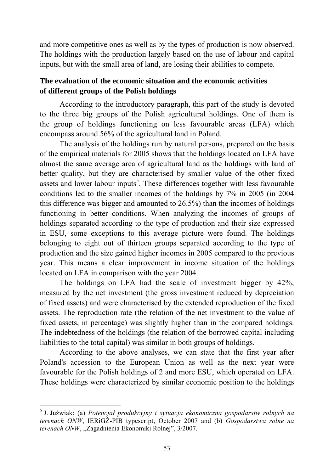and more competitive ones as well as by the types of production is now observed. The holdings with the production largely based on the use of labour and capital inputs, but with the small area of land, are losing their abilities to compete.

## **The evaluation of the economic situation and the economic activities of different groups of the Polish holdings**

According to the introductory paragraph, this part of the study is devoted to the three big groups of the Polish agricultural holdings. One of them is the group of holdings functioning on less favourable areas (LFA) which encompass around 56% of the agricultural land in Poland.

The analysis of the holdings run by natural persons, prepared on the basis of the empirical materials for 2005 shows that the holdings located on LFA have almost the same average area of agricultural land as the holdings with land of better quality, but they are characterised by smaller value of the other fixed assets and lower labour inputs<sup>5</sup>. These differences together with less favourable conditions led to the smaller incomes of the holdings by 7% in 2005 (in 2004 this difference was bigger and amounted to 26.5%) than the incomes of holdings functioning in better conditions. When analyzing the incomes of groups of holdings separated according to the type of production and their size expressed in ESU, some exceptions to this average picture were found. The holdings belonging to eight out of thirteen groups separated according to the type of production and the size gained higher incomes in 2005 compared to the previous year. This means a clear improvement in income situation of the holdings located on LFA in comparison with the year 2004.

The holdings on LFA had the scale of investment bigger by 42%, measured by the net investment (the gross investment reduced by depreciation of fixed assets) and were characterised by the extended reproduction of the fixed assets. The reproduction rate (the relation of the net investment to the value of fixed assets, in percentage) was slightly higher than in the compared holdings. The indebtedness of the holdings (the relation of the borrowed capital including liabilities to the total capital) was similar in both groups of holdings.

According to the above analyses, we can state that the first year after Poland's accession to the European Union as well as the next year were favourable for the Polish holdings of 2 and more ESU, which operated on LFA. These holdings were characterized by similar economic position to the holdings

<u>.</u>

<sup>5</sup> J. Juźwiak: (a) *Potencjał produkcyjny i sytuacja ekonomiczna gospodarstw rolnych na terenach ONW*, IERiGŻ-PIB typescript, October 2007 and (b) *Gospodarstwa rolne na*  terenach ONW, "Zagadnienia Ekonomiki Rolnej", 3/2007.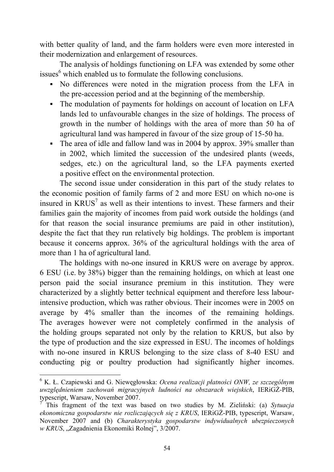with better quality of land, and the farm holders were even more interested in their modernization and enlargement of resources.

The analysis of holdings functioning on LFA was extended by some other issues<sup>6</sup> which enabled us to formulate the following conclusions.

- No differences were noted in the migration process from the LFA in the pre-accession period and at the beginning of the membership.
- The modulation of payments for holdings on account of location on LFA lands led to unfavourable changes in the size of holdings. The process of growth in the number of holdings with the area of more than 50 ha of agricultural land was hampered in favour of the size group of 15-50 ha.
- The area of idle and fallow land was in 2004 by approx. 39% smaller than in 2002, which limited the succession of the undesired plants (weeds, sedges, etc.) on the agricultural land, so the LFA payments exerted a positive effect on the environmental protection.

The second issue under consideration in this part of the study relates to the economic position of family farms of 2 and more ESU on which no-one is insured in  $KRUS<sup>7</sup>$  as well as their intentions to invest. These farmers and their families gain the majority of incomes from paid work outside the holdings (and for that reason the social insurance premiums are paid in other institution), despite the fact that they run relatively big holdings. The problem is important because it concerns approx. 36% of the agricultural holdings with the area of more than 1 ha of agricultural land.

The holdings with no-one insured in KRUS were on average by approx. 6 ESU (i.e. by 38%) bigger than the remaining holdings, on which at least one person paid the social insurance premium in this institution. They were characterized by a slightly better technical equipment and therefore less labourintensive production, which was rather obvious. Their incomes were in 2005 on average by 4% smaller than the incomes of the remaining holdings. The averages however were not completely confirmed in the analysis of the holding groups separated not only by the relation to KRUS, but also by the type of production and the size expressed in ESU. The incomes of holdings with no-one insured in KRUS belonging to the size class of 8-40 ESU and conducting pig or poultry production had significantly higher incomes.

1

<sup>6</sup> K. Ł. Czapiewski and G. Niewęgłowska: *Ocena realizacji płatności ONW, ze szczególnym uwzględnieniem zachowań migracyjnych ludności na obszarach wiejskich*, IERiGŻ-PIB, typescript, Warsaw, November 2007.

<sup>7</sup> This fragment of the text was based on two studies by M. Zieliński: (a) *Sytuacja ekonomiczna gospodarstw nie rozliczających się z KRUS*, IERiGŻ-PIB, typescript, Warsaw, November 2007 and (b) *Charakterystyka gospodarstw indywidualnych ubezpieczonych w KRUS*, "Zagadnienia Ekonomiki Rolnej", 3/2007.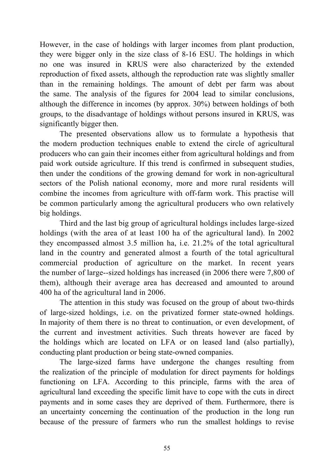However, in the case of holdings with larger incomes from plant production, they were bigger only in the size class of 8-16 ESU. The holdings in which no one was insured in KRUS were also characterized by the extended reproduction of fixed assets, although the reproduction rate was slightly smaller than in the remaining holdings. The amount of debt per farm was about the same. The analysis of the figures for 2004 lead to similar conclusions, although the difference in incomes (by approx. 30%) between holdings of both groups, to the disadvantage of holdings without persons insured in KRUS, was significantly bigger then.

The presented observations allow us to formulate a hypothesis that the modern production techniques enable to extend the circle of agricultural producers who can gain their incomes either from agricultural holdings and from paid work outside agriculture. If this trend is confirmed in subsequent studies, then under the conditions of the growing demand for work in non-agricultural sectors of the Polish national economy, more and more rural residents will combine the incomes from agriculture with off-farm work. This practise will be common particularly among the agricultural producers who own relatively big holdings.

Third and the last big group of agricultural holdings includes large-sized holdings (with the area of at least 100 ha of the agricultural land). In 2002 they encompassed almost 3.5 million ha, i.e. 21.2% of the total agricultural land in the country and generated almost a fourth of the total agricultural commercial production of agriculture on the market. In recent years the number of large--sized holdings has increased (in 2006 there were 7,800 of them), although their average area has decreased and amounted to around 400 ha of the agricultural land in 2006.

The attention in this study was focused on the group of about two-thirds of large-sized holdings, i.e. on the privatized former state-owned holdings. In majority of them there is no threat to continuation, or even development, of the current and investment activities. Such threats however are faced by the holdings which are located on LFA or on leased land (also partially), conducting plant production or being state-owned companies.

The large-sized farms have undergone the changes resulting from the realization of the principle of modulation for direct payments for holdings functioning on LFA. According to this principle, farms with the area of agricultural land exceeding the specific limit have to cope with the cuts in direct payments and in some cases they are deprived of them. Furthermore, there is an uncertainty concerning the continuation of the production in the long run because of the pressure of farmers who run the smallest holdings to revise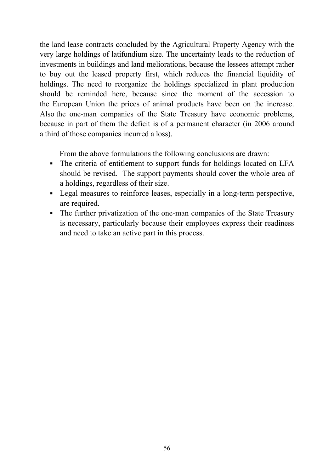the land lease contracts concluded by the Agricultural Property Agency with the very large holdings of latifundium size. The uncertainty leads to the reduction of investments in buildings and land meliorations, because the lessees attempt rather to buy out the leased property first, which reduces the financial liquidity of holdings. The need to reorganize the holdings specialized in plant production should be reminded here, because since the moment of the accession to the European Union the prices of animal products have been on the increase. Also the one-man companies of the State Treasury have economic problems, because in part of them the deficit is of a permanent character (in 2006 around a third of those companies incurred a loss).

From the above formulations the following conclusions are drawn:

- The criteria of entitlement to support funds for holdings located on LFA should be revised. The support payments should cover the whole area of a holdings, regardless of their size.
- Legal measures to reinforce leases, especially in a long-term perspective, are required.
- The further privatization of the one-man companies of the State Treasury is necessary, particularly because their employees express their readiness and need to take an active part in this process.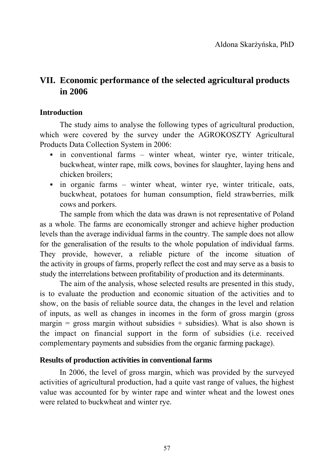# **VII. Economic performance of the selected agricultural products in 2006**

### **Introduction**

The study aims to analyse the following types of agricultural production, which were covered by the survey under the AGROKOSZTY Agricultural Products Data Collection System in 2006:

- in conventional farms winter wheat, winter rye, winter triticale, buckwheat, winter rape, milk cows, bovines for slaughter, laying hens and chicken broilers;
- in organic farms winter wheat, winter rye, winter triticale, oats, buckwheat, potatoes for human consumption, field strawberries, milk cows and porkers.

The sample from which the data was drawn is not representative of Poland as a whole. The farms are economically stronger and achieve higher production levels than the average individual farms in the country. The sample does not allow for the generalisation of the results to the whole population of individual farms. They provide, however, a reliable picture of the income situation of the activity in groups of farms, properly reflect the cost and may serve as a basis to study the interrelations between profitability of production and its determinants.

The aim of the analysis, whose selected results are presented in this study, is to evaluate the production and economic situation of the activities and to show, on the basis of reliable source data, the changes in the level and relation of inputs, as well as changes in incomes in the form of gross margin (gross margin = gross margin without subsidies  $+$  subsidies). What is also shown is the impact on financial support in the form of subsidies (i.e. received complementary payments and subsidies from the organic farming package).

#### **Results of production activities in conventional farms**

In 2006, the level of gross margin, which was provided by the surveyed activities of agricultural production, had a quite vast range of values, the highest value was accounted for by winter rape and winter wheat and the lowest ones were related to buckwheat and winter rye.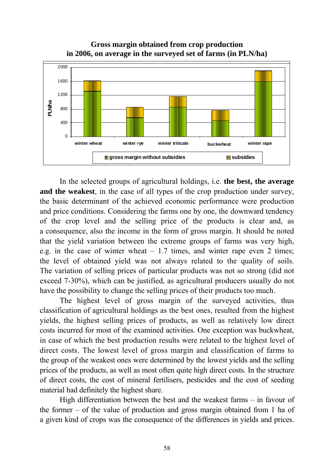**Gross margin obtained from crop production in 2006, on average in the surveyed set of farms (in PLN/ha)** 



In the selected groups of agricultural holdings, i.e. **the best, the average and the weakest**, in the case of all types of the crop production under survey, the basic determinant of the achieved economic performance were production and price conditions. Considering the farms one by one, the downward tendency of the crop level and the selling price of the products is clear and, as a consequence, also the income in the form of gross margin. It should be noted that the yield variation between the extreme groups of farms was very high, e.g. in the case of winter wheat – 1.7 times, and winter rape even 2 times; the level of obtained yield was not always related to the quality of soils. The variation of selling prices of particular products was not so strong (did not exceed 7-30%), which can be justified, as agricultural producers usually do not have the possibility to change the selling prices of their products too much.

The highest level of gross margin of the surveyed activities, thus classification of agricultural holdings as the best ones, resulted from the highest yields, the highest selling prices of products, as well as relatively low direct costs incurred for most of the examined activities. One exception was buckwheat, in case of which the best production results were related to the highest level of direct costs. The lowest level of gross margin and classification of farms to the group of the weakest ones were determined by the lowest yields and the selling prices of the products, as well as most often quite high direct costs. In the structure of direct costs, the cost of mineral fertilisers, pesticides and the cost of seeding material had definitely the highest share.

High differentiation between the best and the weakest farms – in favour of the former – of the value of production and gross margin obtained from 1 ha of a given kind of crops was the consequence of the differences in yields and prices.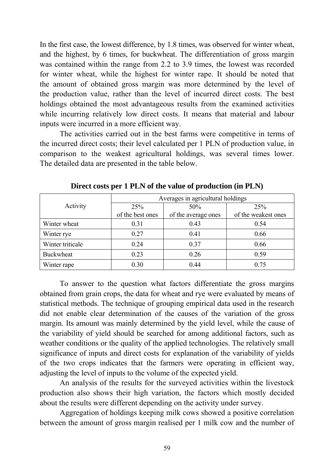In the first case, the lowest difference, by 1.8 times, was observed for winter wheat, and the highest, by 6 times, for buckwheat. The differentiation of gross margin was contained within the range from 2.2 to 3.9 times, the lowest was recorded for winter wheat, while the highest for winter rape. It should be noted that the amount of obtained gross margin was more determined by the level of the production value, rather than the level of incurred direct costs. The best holdings obtained the most advantageous results from the examined activities while incurring relatively low direct costs. It means that material and labour inputs were incurred in a more efficient way.

The activities carried out in the best farms were competitive in terms of the incurred direct costs; their level calculated per 1 PLN of production value, in comparison to the weakest agricultural holdings, was several times lower. The detailed data are presented in the table below.

|                  | Averages in agricultural holdings |                     |                     |  |  |  |
|------------------|-----------------------------------|---------------------|---------------------|--|--|--|
| Activity         | 25%                               | 50%                 | 25%                 |  |  |  |
|                  | of the best ones                  | of the average ones | of the weakest ones |  |  |  |
| Winter wheat     | 0.31                              | 0.43                | 0.54                |  |  |  |
| Winter rye       | 0.27                              | 0.41                | 0.66                |  |  |  |
| Winter triticale | 0.24                              | 0.37                | 0.66                |  |  |  |
| <b>Buckwheat</b> | 0.23                              | 0.26                | 0.59                |  |  |  |
| Winter rape      | 0.30                              | 0.44                | 0.75                |  |  |  |

**Direct costs per 1 PLN of the value of production (in PLN)** 

To answer to the question what factors differentiate the gross margins obtained from grain crops, the data for wheat and rye were evaluated by means of statistical methods. The technique of grouping empirical data used in the research did not enable clear determination of the causes of the variation of the gross margin. Its amount was mainly determined by the yield level, while the cause of the variability of yield should be searched for among additional factors, such as weather conditions or the quality of the applied technologies. The relatively small significance of inputs and direct costs for explanation of the variability of yields of the two crops indicates that the farmers were operating in efficient way, adjusting the level of inputs to the volume of the expected yield.

An analysis of the results for the surveyed activities within the livestock production also shows their high variation, the factors which mostly decided about the results were different depending on the activity under survey.

Aggregation of holdings keeping milk cows showed a positive correlation between the amount of gross margin realised per 1 milk cow and the number of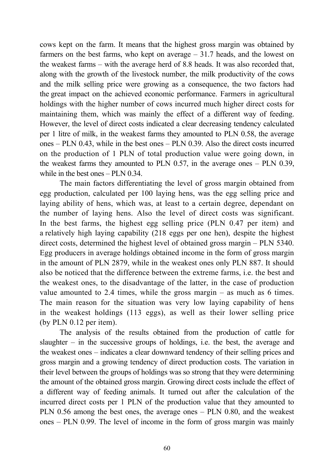cows kept on the farm. It means that the highest gross margin was obtained by farmers on the best farms, who kept on average – 31.7 heads, and the lowest on the weakest farms – with the average herd of 8.8 heads. It was also recorded that, along with the growth of the livestock number, the milk productivity of the cows and the milk selling price were growing as a consequence, the two factors had the great impact on the achieved economic performance. Farmers in agricultural holdings with the higher number of cows incurred much higher direct costs for maintaining them, which was mainly the effect of a different way of feeding. However, the level of direct costs indicated a clear decreasing tendency calculated per 1 litre of milk, in the weakest farms they amounted to PLN 0.58, the average ones – PLN 0.43, while in the best ones – PLN 0.39. Also the direct costs incurred on the production of 1 PLN of total production value were going down, in the weakest farms they amounted to PLN 0.57, in the average ones – PLN 0.39, while in the best ones – PLN 0.34.

The main factors differentiating the level of gross margin obtained from egg production, calculated per 100 laying hens, was the egg selling price and laying ability of hens, which was, at least to a certain degree, dependant on the number of laying hens. Also the level of direct costs was significant. In the best farms, the highest egg selling price (PLN 0.47 per item) and a relatively high laying capability (218 eggs per one hen), despite the highest direct costs, determined the highest level of obtained gross margin – PLN 5340. Egg producers in average holdings obtained income in the form of gross margin in the amount of PLN 2879, while in the weakest ones only PLN 887. It should also be noticed that the difference between the extreme farms, i.e. the best and the weakest ones, to the disadvantage of the latter, in the case of production value amounted to 2.4 times, while the gross margin – as much as 6 times. The main reason for the situation was very low laying capability of hens in the weakest holdings (113 eggs), as well as their lower selling price (by PLN 0.12 per item).

The analysis of the results obtained from the production of cattle for slaughter – in the successive groups of holdings, i.e. the best, the average and the weakest ones – indicates a clear downward tendency of their selling prices and gross margin and a growing tendency of direct production costs. The variation in their level between the groups of holdings was so strong that they were determining the amount of the obtained gross margin. Growing direct costs include the effect of a different way of feeding animals. It turned out after the calculation of the incurred direct costs per 1 PLN of the production value that they amounted to PLN 0.56 among the best ones, the average ones – PLN 0.80, and the weakest ones – PLN 0.99. The level of income in the form of gross margin was mainly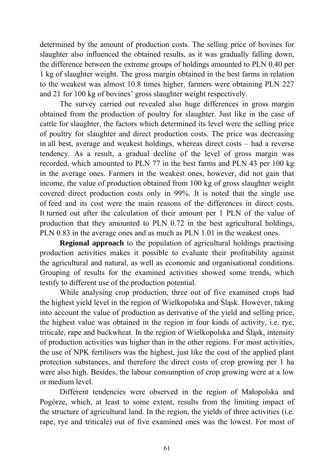determined by the amount of production costs. The selling price of bovines for slaughter also influenced the obtained results, as it was gradually falling down, the difference between the extreme groups of holdings amounted to PLN 0.40 per 1 kg of slaughter weight. The gross margin obtained in the best farms in relation to the weakest was almost 10.8 times higher, farmers were obtaining PLN 227 and 21 for 100 kg of bovines' gross slaughter weight respectively.

The survey carried out revealed also huge differences in gross margin obtained from the production of poultry for slaughter. Just like in the case of cattle for slaughter, the factors which determined its level were the selling price of poultry for slaughter and direct production costs. The price was decreasing in all best, average and weakest holdings, whereas direct costs – had a reverse tendency. As a result, a gradual decline of the level of gross margin was recorded, which amounted to PLN 77 in the best farms and PLN 43 per 100 kg in the average ones. Farmers in the weakest ones, however, did not gain that income, the value of production obtained from 100 kg of gross slaughter weight covered direct production costs only in 99%. It is noted that the single use of feed and its cost were the main reasons of the differences in direct costs. It turned out after the calculation of their amount per 1 PLN of the value of production that they amounted to PLN 0.72 in the best agricultural holdings, PLN 0.83 in the average ones and as much as PLN 1.01 in the weakest ones.

**Regional approach** to the population of agricultural holdings practising production activities makes it possible to evaluate their profitability against the agricultural and natural, as well as economic and organisational conditions. Grouping of results for the examined activities showed some trends, which testify to different use of the production potential.

While analysing crop production, three out of five examined crops had the highest yield level in the region of Wielkopolska and Śląsk. However, taking into account the value of production as derivative of the yield and selling price, the highest value was obtained in the region in four kinds of activity, i.e. rye, triticale, rape and buckwheat. In the region of Wielkopolska and Śląsk, intensity of production activities was higher than in the other regions. For most activities, the use of NPK fertilisers was the highest, just like the cost of the applied plant protection substances, and therefore the direct costs of crop growing per 1 ha were also high. Besides, the labour consumption of crop growing were at a low or medium level.

Different tendencies were observed in the region of Małopolska and Pogórze, which, at least to some extent, results from the limiting impact of the structure of agricultural land. In the region, the yields of three activities (i.e. rape, rye and triticale) out of five examined ones was the lowest. For most of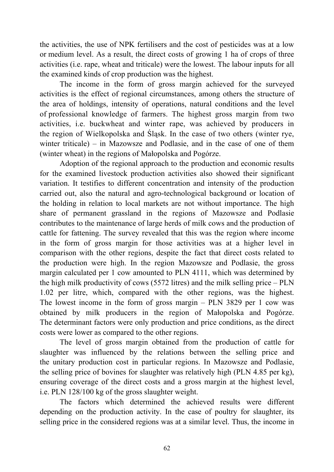the activities, the use of NPK fertilisers and the cost of pesticides was at a low or medium level. As a result, the direct costs of growing 1 ha of crops of three activities (i.e. rape, wheat and triticale) were the lowest. The labour inputs for all the examined kinds of crop production was the highest.

The income in the form of gross margin achieved for the surveyed activities is the effect of regional circumstances, among others the structure of the area of holdings, intensity of operations, natural conditions and the level of professional knowledge of farmers. The highest gross margin from two activities, i.e. buckwheat and winter rape, was achieved by producers in the region of Wielkopolska and Śląsk. In the case of two others (winter rye, winter triticale) – in Mazowsze and Podlasie, and in the case of one of them (winter wheat) in the regions of Małopolska and Pogórze.

Adoption of the regional approach to the production and economic results for the examined livestock production activities also showed their significant variation. It testifies to different concentration and intensity of the production carried out, also the natural and agro-technological background or location of the holding in relation to local markets are not without importance. The high share of permanent grassland in the regions of Mazowsze and Podlasie contributes to the maintenance of large herds of milk cows and the production of cattle for fattening. The survey revealed that this was the region where income in the form of gross margin for those activities was at a higher level in comparison with the other regions, despite the fact that direct costs related to the production were high. In the region Mazowsze and Podlasie, the gross margin calculated per 1 cow amounted to PLN 4111, which was determined by the high milk productivity of cows (5572 litres) and the milk selling price – PLN 1.02 per litre, which, compared with the other regions, was the highest. The lowest income in the form of gross margin – PLN 3829 per 1 cow was obtained by milk producers in the region of Małopolska and Pogórze. The determinant factors were only production and price conditions, as the direct costs were lower as compared to the other regions.

The level of gross margin obtained from the production of cattle for slaughter was influenced by the relations between the selling price and the unitary production cost in particular regions. In Mazowsze and Podlasie, the selling price of bovines for slaughter was relatively high (PLN 4.85 per kg), ensuring coverage of the direct costs and a gross margin at the highest level, i.e. PLN 128/100 kg of the gross slaughter weight.

The factors which determined the achieved results were different depending on the production activity. In the case of poultry for slaughter, its selling price in the considered regions was at a similar level. Thus, the income in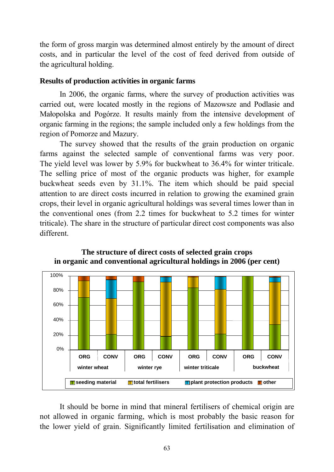the form of gross margin was determined almost entirely by the amount of direct costs, and in particular the level of the cost of feed derived from outside of the agricultural holding.

### **Results of production activities in organic farms**

In 2006, the organic farms, where the survey of production activities was carried out, were located mostly in the regions of Mazowsze and Podlasie and Małopolska and Pogórze. It results mainly from the intensive development of organic farming in the regions; the sample included only a few holdings from the region of Pomorze and Mazury.

The survey showed that the results of the grain production on organic farms against the selected sample of conventional farms was very poor. The yield level was lower by 5.9% for buckwheat to 36.4% for winter triticale. The selling price of most of the organic products was higher, for example buckwheat seeds even by 31.1%. The item which should be paid special attention to are direct costs incurred in relation to growing the examined grain crops, their level in organic agricultural holdings was several times lower than in the conventional ones (from 2.2 times for buckwheat to 5.2 times for winter triticale). The share in the structure of particular direct cost components was also different.



### **The structure of direct costs of selected grain crops in organic and conventional agricultural holdings in 2006 (per cent)**

It should be borne in mind that mineral fertilisers of chemical origin are not allowed in organic farming, which is most probably the basic reason for the lower yield of grain. Significantly limited fertilisation and elimination of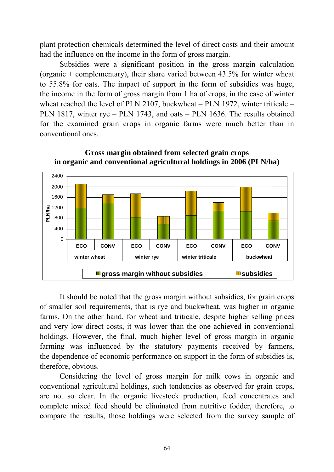plant protection chemicals determined the level of direct costs and their amount had the influence on the income in the form of gross margin.

Subsidies were a significant position in the gross margin calculation (organic + complementary), their share varied between 43.5% for winter wheat to 55.8% for oats. The impact of support in the form of subsidies was huge, the income in the form of gross margin from 1 ha of crops, in the case of winter wheat reached the level of PLN 2107, buckwheat – PLN 1972, winter triticale – PLN 1817, winter rye – PLN 1743, and oats – PLN 1636. The results obtained for the examined grain crops in organic farms were much better than in conventional ones.



**Gross margin obtained from selected grain crops in organic and conventional agricultural holdings in 2006 (PLN/ha)** 

It should be noted that the gross margin without subsidies, for grain crops of smaller soil requirements, that is rye and buckwheat, was higher in organic farms. On the other hand, for wheat and triticale, despite higher selling prices and very low direct costs, it was lower than the one achieved in conventional holdings. However, the final, much higher level of gross margin in organic farming was influenced by the statutory payments received by farmers, the dependence of economic performance on support in the form of subsidies is, therefore, obvious.

Considering the level of gross margin for milk cows in organic and conventional agricultural holdings, such tendencies as observed for grain crops, are not so clear. In the organic livestock production, feed concentrates and complete mixed feed should be eliminated from nutritive fodder, therefore, to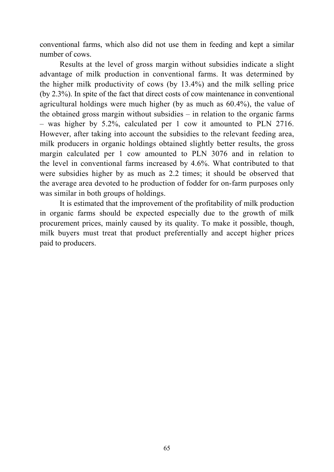conventional farms, which also did not use them in feeding and kept a similar number of cows.

Results at the level of gross margin without subsidies indicate a slight advantage of milk production in conventional farms. It was determined by the higher milk productivity of cows (by 13.4%) and the milk selling price (by 2.3%). In spite of the fact that direct costs of cow maintenance in conventional agricultural holdings were much higher (by as much as 60.4%), the value of the obtained gross margin without subsidies – in relation to the organic farms – was higher by 5.2%, calculated per 1 cow it amounted to PLN 2716. However, after taking into account the subsidies to the relevant feeding area, milk producers in organic holdings obtained slightly better results, the gross margin calculated per 1 cow amounted to PLN 3076 and in relation to the level in conventional farms increased by 4.6%. What contributed to that were subsidies higher by as much as 2.2 times; it should be observed that the average area devoted to he production of fodder for on-farm purposes only was similar in both groups of holdings.

It is estimated that the improvement of the profitability of milk production in organic farms should be expected especially due to the growth of milk procurement prices, mainly caused by its quality. To make it possible, though, milk buyers must treat that product preferentially and accept higher prices paid to producers.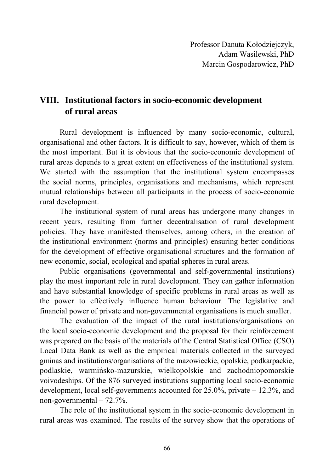# **VIII. Institutional factors in socio-economic development of rural areas**

Rural development is influenced by many socio-economic, cultural, organisational and other factors. It is difficult to say, however, which of them is the most important. But it is obvious that the socio-economic development of rural areas depends to a great extent on effectiveness of the institutional system. We started with the assumption that the institutional system encompasses the social norms, principles, organisations and mechanisms, which represent mutual relationships between all participants in the process of socio-economic rural development.

The institutional system of rural areas has undergone many changes in recent years, resulting from further decentralisation of rural development policies. They have manifested themselves, among others, in the creation of the institutional environment (norms and principles) ensuring better conditions for the development of effective organisational structures and the formation of new economic, social, ecological and spatial spheres in rural areas.

Public organisations (governmental and self-governmental institutions) play the most important role in rural development. They can gather information and have substantial knowledge of specific problems in rural areas as well as the power to effectively influence human behaviour. The legislative and financial power of private and non-governmental organisations is much smaller.

The evaluation of the impact of the rural institutions/organisations on the local socio-economic development and the proposal for their reinforcement was prepared on the basis of the materials of the Central Statistical Office (CSO) Local Data Bank as well as the empirical materials collected in the surveyed gminas and institutions/organisations of the mazowieckie, opolskie, podkarpackie, podlaskie, warmińsko-mazurskie, wielkopolskie and zachodniopomorskie voivodeships. Of the 876 surveyed institutions supporting local socio-economic development, local self-governments accounted for 25.0%, private – 12.3%, and non-governmental – 72.7%.

The role of the institutional system in the socio-economic development in rural areas was examined. The results of the survey show that the operations of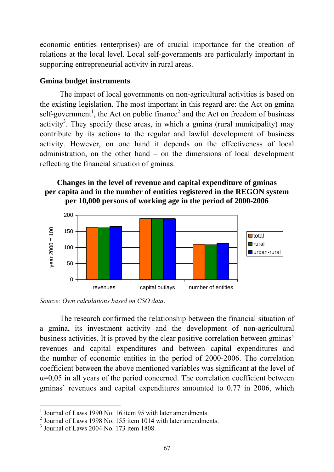economic entities (enterprises) are of crucial importance for the creation of relations at the local level. Local self-governments are particularly important in supporting entrepreneurial activity in rural areas.

### **Gmina budget instruments**

The impact of local governments on non-agricultural activities is based on the existing legislation. The most important in this regard are: the Act on gmina self-government<sup>1</sup>, the Act on public finance<sup>2</sup> and the Act on freedom of business activity<sup>3</sup>. They specify these areas, in which a gmina (rural municipality) may contribute by its actions to the regular and lawful development of business activity. However, on one hand it depends on the effectiveness of local administration, on the other hand – on the dimensions of local development reflecting the financial situation of gminas.

### **Changes in the level of revenue and capital expenditure of gminas per capita and in the number of entities registered in the REGON system per 10,000 persons of working age in the period of 2000-2006**





The research confirmed the relationship between the financial situation of a gmina, its investment activity and the development of non-agricultural business activities. It is proved by the clear positive correlation between gminas' revenues and capital expenditures and between capital expenditures and the number of economic entities in the period of 2000-2006. The correlation coefficient between the above mentioned variables was significant at the level of  $\alpha$ =0,05 in all years of the period concerned. The correlation coefficient between gminas' revenues and capital expenditures amounted to 0.77 in 2006, which

<u>.</u>

<sup>1</sup> Journal of Laws 1990 No. 16 item 95 with later amendments.

<sup>2</sup> Journal of Laws 1998 No. 155 item 1014 with later amendments.

<sup>3</sup> Journal of Laws 2004 No. 173 item 1808.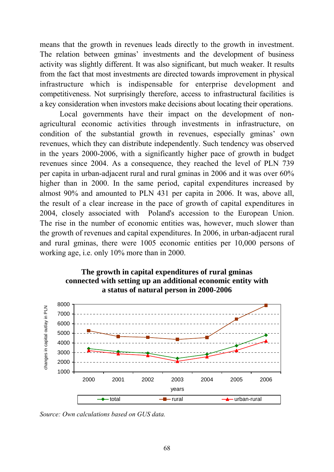means that the growth in revenues leads directly to the growth in investment. The relation between gminas' investments and the development of business activity was slightly different. It was also significant, but much weaker. It results from the fact that most investments are directed towards improvement in physical infrastructure which is indispensable for enterprise development and competitiveness. Not surprisingly therefore, access to infrastructural facilities is a key consideration when investors make decisions about locating their operations.

Local governments have their impact on the development of nonagricultural economic activities through investments in infrastructure, on condition of the substantial growth in revenues, especially gminas' own revenues, which they can distribute independently. Such tendency was observed in the years 2000-2006, with a significantly higher pace of growth in budget revenues since 2004. As a consequence, they reached the level of PLN 739 per capita in urban-adjacent rural and rural gminas in 2006 and it was over 60% higher than in 2000. In the same period, capital expenditures increased by almost 90% and amounted to PLN 431 per capita in 2006. It was, above all, the result of a clear increase in the pace of growth of capital expenditures in 2004, closely associated with Poland's accession to the European Union. The rise in the number of economic entities was, however, much slower than the growth of revenues and capital expenditures. In 2006, in urban-adjacent rural and rural gminas, there were 1005 economic entities per 10,000 persons of working age, i.e. only 10% more than in 2000.





*Source: Own calculations based on GUS data.*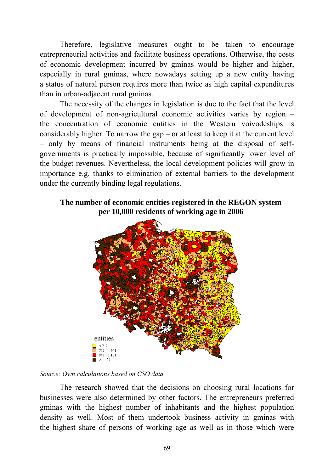Therefore, legislative measures ought to be taken to encourage entrepreneurial activities and facilitate business operations. Otherwise, the costs of economic development incurred by gminas would be higher and higher, especially in rural gminas, where nowadays setting up a new entity having a status of natural person requires more than twice as high capital expenditures than in urban-adjacent rural gminas.

The necessity of the changes in legislation is due to the fact that the level of development of non-agricultural economic activities varies by region – the concentration of economic entities in the Western voivodeships is considerably higher. To narrow the gap – or at least to keep it at the current level – only by means of financial instruments being at the disposal of selfgovernments is practically impossible, because of significantly lower level of the budget revenues. Nevertheless, the local development policies will grow in importance e.g. thanks to elimination of external barriers to the development under the currently binding legal regulations.

### **The number of economic entities registered in the REGON system per 10,000 residents of working age in 2006**



*Source: Own calculations based on CSO data.* 

The research showed that the decisions on choosing rural locations for businesses were also determined by other factors. The entrepreneurs preferred gminas with the highest number of inhabitants and the highest population density as well. Most of them undertook business activity in gminas with the highest share of persons of working age as well as in those which were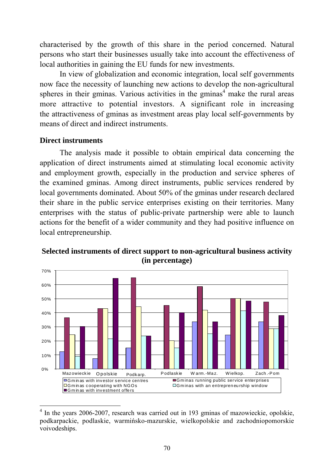characterised by the growth of this share in the period concerned. Natural persons who start their businesses usually take into account the effectiveness of local authorities in gaining the EU funds for new investments.

In view of globalization and economic integration, local self governments now face the necessity of launching new actions to develop the non-agricultural spheres in their gminas. Various activities in the gminas $4$  make the rural areas more attractive to potential investors. A significant role in increasing the attractiveness of gminas as investment areas play local self-governments by means of direct and indirect instruments.

### **Direct instruments**

<u>.</u>

The analysis made it possible to obtain empirical data concerning the application of direct instruments aimed at stimulating local economic activity and employment growth, especially in the production and service spheres of the examined gminas. Among direct instruments, public services rendered by local governments dominated. About 50% of the gminas under research declared their share in the public service enterprises existing on their territories. Many enterprises with the status of public-private partnership were able to launch actions for the benefit of a wider community and they had positive influence on local entrepreneurship.



## **Selected instruments of direct support to non-agricultural business activity (in percentage)**

<sup>&</sup>lt;sup>4</sup> In the years 2006-2007, research was carried out in 193 gminas of mazowieckie, opolskie, podkarpackie, podlaskie, warmińsko-mazurskie, wielkopolskie and zachodniopomorskie voivodeships.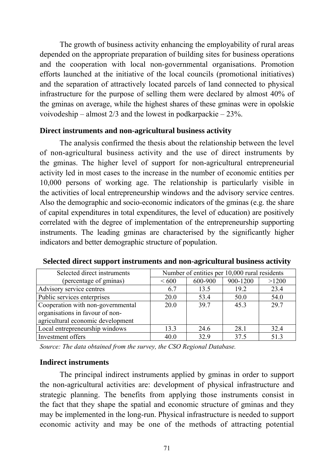The growth of business activity enhancing the employability of rural areas depended on the appropriate preparation of building sites for business operations and the cooperation with local non-governmental organisations. Promotion efforts launched at the initiative of the local councils (promotional initiatives) and the separation of attractively located parcels of land connected to physical infrastructure for the purpose of selling them were declared by almost 40% of the gminas on average, while the highest shares of these gminas were in opolskie voivodeship – almost 2/3 and the lowest in podkarpackie – 23%.

### **Direct instruments and non-agricultural business activity**

The analysis confirmed the thesis about the relationship between the level of non-agricultural business activity and the use of direct instruments by the gminas. The higher level of support for non-agricultural entrepreneurial activity led in most cases to the increase in the number of economic entities per 10,000 persons of working age. The relationship is particularly visible in the activities of local entrepreneurship windows and the advisory service centres. Also the demographic and socio-economic indicators of the gminas (e.g. the share of capital expenditures in total expenditures, the level of education) are positively correlated with the degree of implementation of the entrepreneurship supporting instruments. The leading gminas are characterised by the significantly higher indicators and better demographic structure of population.

| Selected direct instruments       | Number of entities per 10,000 rural residents |         |          |       |  |
|-----------------------------------|-----------------------------------------------|---------|----------|-------|--|
| (percentage of gminas)            | ${}< 600$                                     | 600-900 | 900-1200 | >1200 |  |
| Advisory service centres          | 6.7                                           | 13.5    | 19.2     | 23.4  |  |
| Public services enterprises       | 20.0                                          | 53.4    | 50.0     | 54.0  |  |
| Cooperation with non-governmental | 20.0                                          | 39.7    | 45.3     | 29.7  |  |
| organisations in favour of non-   |                                               |         |          |       |  |
| agricultural economic development |                                               |         |          |       |  |
| Local entrepreneurship windows    | 13.3                                          | 24.6    | 28.1     | 32.4  |  |
| Investment offers                 | 40.0                                          | 32.9    | 37.5     | 51.3  |  |

**Selected direct support instruments and non-agricultural business activity** 

*Source: The data obtained from the survey, the CSO Regional Database.* 

#### **Indirect instruments**

The principal indirect instruments applied by gminas in order to support the non-agricultural activities are: development of physical infrastructure and strategic planning. The benefits from applying those instruments consist in the fact that they shape the spatial and economic structure of gminas and they may be implemented in the long-run. Physical infrastructure is needed to support economic activity and may be one of the methods of attracting potential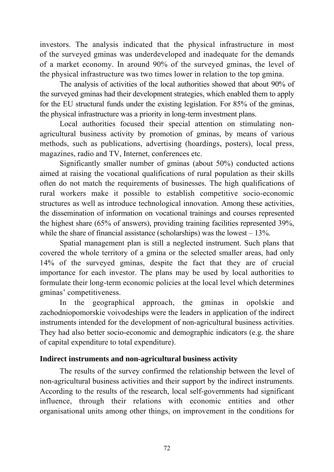investors. The analysis indicated that the physical infrastructure in most of the surveyed gminas was underdeveloped and inadequate for the demands of a market economy. In around 90% of the surveyed gminas, the level of the physical infrastructure was two times lower in relation to the top gmina.

The analysis of activities of the local authorities showed that about 90% of the surveyed gminas had their development strategies, which enabled them to apply for the EU structural funds under the existing legislation. For 85% of the gminas, the physical infrastructure was a priority in long-term investment plans.

Local authorities focused their special attention on stimulating nonagricultural business activity by promotion of gminas, by means of various methods, such as publications, advertising (hoardings, posters), local press, magazines, radio and TV, Internet, conferences etc.

Significantly smaller number of gminas (about 50%) conducted actions aimed at raising the vocational qualifications of rural population as their skills often do not match the requirements of businesses. The high qualifications of rural workers make it possible to establish competitive socio-economic structures as well as introduce technological innovation. Among these activities, the dissemination of information on vocational trainings and courses represented the highest share (65% of answers), providing training facilities represented 39%, while the share of financial assistance (scholarships) was the lowest  $-13\%$ .

Spatial management plan is still a neglected instrument. Such plans that covered the whole territory of a gmina or the selected smaller areas, had only 14% of the surveyed gminas, despite the fact that they are of crucial importance for each investor. The plans may be used by local authorities to formulate their long-term economic policies at the local level which determines gminas' competitiveness.

In the geographical approach, the gminas in opolskie and zachodniopomorskie voivodeships were the leaders in application of the indirect instruments intended for the development of non-agricultural business activities. They had also better socio-economic and demographic indicators (e.g. the share of capital expenditure to total expenditure).

## **Indirect instruments and non-agricultural business activity**

The results of the survey confirmed the relationship between the level of non-agricultural business activities and their support by the indirect instruments. According to the results of the research, local self-governments had significant influence, through their relations with economic entities and other organisational units among other things, on improvement in the conditions for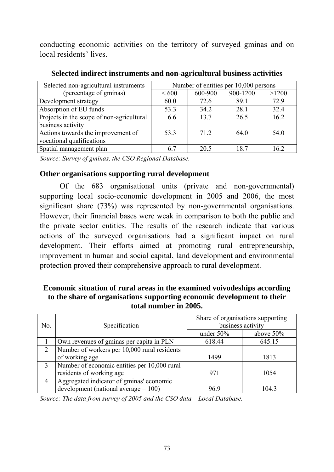conducting economic activities on the territory of surveyed gminas and on local residents' lives.

| Selected non-agricultural instruments     | Number of entities per 10,000 persons |         |          |       |
|-------------------------------------------|---------------------------------------|---------|----------|-------|
| (percentage of gminas)                    | ${}< 600$                             | 600-900 | 900-1200 | >1200 |
| Development strategy                      | 60.0                                  | 72.6    | 89.1     | 72.9  |
| Absorption of EU funds                    | 53.3                                  | 34.2    | 28.1     | 32.4  |
| Projects in the scope of non-agricultural | 6.6                                   | 13.7    | 26.5     | 16.2  |
| business activity                         |                                       |         |          |       |
| Actions towards the improvement of        | 53.3                                  | 71 2    | 64.0     | 54.0  |
| vocational qualifications                 |                                       |         |          |       |
| Spatial management plan                   | 6.7                                   | 20.5    | 18.7     | 16.2  |

**Selected indirect instruments and non-agricultural business activities** 

*Source: Survey of gminas, the CSO Regional Database.* 

## **Other organisations supporting rural development**

Of the 683 organisational units (private and non-governmental) supporting local socio-economic development in 2005 and 2006, the most significant share (73%) was represented by non-governmental organisations. However, their financial bases were weak in comparison to both the public and the private sector entities. The results of the research indicate that various actions of the surveyed organisations had a significant impact on rural development. Their efforts aimed at promoting rural entrepreneurship, improvement in human and social capital, land development and environmental protection proved their comprehensive approach to rural development.

## **Economic situation of rural areas in the examined voivodeships according to the share of organisations supporting economic development to their total number in 2005.**

| No.            | Specification                                | Share of organisations supporting<br>business activity |              |  |
|----------------|----------------------------------------------|--------------------------------------------------------|--------------|--|
|                |                                              | under $50\%$                                           | above $50\%$ |  |
|                | Own revenues of gminas per capita in PLN     | 618.44                                                 | 645.15       |  |
| 2              | Number of workers per 10,000 rural residents |                                                        |              |  |
|                | of working age                               | 1499                                                   | 1813         |  |
|                | Number of economic entities per 10,000 rural |                                                        |              |  |
|                | residents of working age                     | 971                                                    | 1054         |  |
| $\overline{4}$ | Aggregated indicator of gminas' economic     |                                                        |              |  |
|                | development (national average $= 100$ )      | 96.9                                                   | 104.3        |  |

*Source: The data from survey of 2005 and the CSO data – Local Database.*